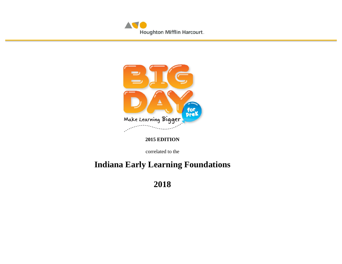



### **2015 EDITION**

correlated to the

# **Indiana Early Learning Foundations**

**2018**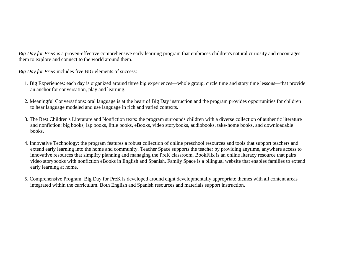*Big Day for PreK* is a proven-effective comprehensive early learning program that embraces children's natural curiosity and encourages them to explore and connect to the world around them.

*Big Day for PreK* includes five BIG elements of success:

- 1. Big Experiences: each day is organized around three big experiences—whole group, circle time and story time lessons—that provide an anchor for conversation, play and learning.
- 2. Meaningful Conversations: oral language is at the heart of Big Day instruction and the program provides opportunities for children to hear language modeled and use language in rich and varied contexts.
- 3. The Best Children's Literature and Nonfiction texts: the program surrounds children with a diverse collection of authentic literature and nonfiction: big books, lap books, little books, eBooks, video storybooks, audiobooks, take-home books, and downloadable books.
- 4. Innovative Technology: the program features a robust collection of online preschool resources and tools that support teachers and extend early learning into the home and community. Teacher Space supports the teacher by providing anytime, anywhere access to innovative resources that simplify planning and managing the PreK classroom. BookFlix is an online literacy resource that pairs video storybooks with nonfiction eBooks in English and Spanish. Family Space is a bilingual website that enables families to extend early learning at home.
- 5. Comprehensive Program: Big Day for PreK is developed around eight developmentally appropriate themes with all content areas integrated within the curriculum. Both English and Spanish resources and materials support instruction.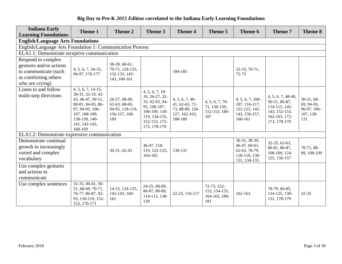| <b>Indiana Early</b><br><b>Learning Foundations</b>                                 | Theme 1                                                                                                                                                              | Theme 2                                                                   | Theme 3                                                                                                                               | <b>Theme 4</b>                                                                  | Theme 5                                                | Theme 6                                                                          | Theme 7                                                                                                | <b>Theme 8</b>                                                |
|-------------------------------------------------------------------------------------|----------------------------------------------------------------------------------------------------------------------------------------------------------------------|---------------------------------------------------------------------------|---------------------------------------------------------------------------------------------------------------------------------------|---------------------------------------------------------------------------------|--------------------------------------------------------|----------------------------------------------------------------------------------|--------------------------------------------------------------------------------------------------------|---------------------------------------------------------------|
| <b>English/Language Arts Foundations</b>                                            |                                                                                                                                                                      |                                                                           |                                                                                                                                       |                                                                                 |                                                        |                                                                                  |                                                                                                        |                                                               |
| English/Language Arts Foundation 1: Communication Process                           |                                                                                                                                                                      |                                                                           |                                                                                                                                       |                                                                                 |                                                        |                                                                                  |                                                                                                        |                                                               |
| ELA1.1: Demonstrate receptive communication                                         |                                                                                                                                                                      |                                                                           |                                                                                                                                       |                                                                                 |                                                        |                                                                                  |                                                                                                        |                                                               |
| Respond to complex                                                                  |                                                                                                                                                                      |                                                                           |                                                                                                                                       |                                                                                 |                                                        |                                                                                  |                                                                                                        |                                                               |
| gestures and/or actions                                                             | 4, 5, 6, 7, 34-35,                                                                                                                                                   | 38-39, 60-61,<br>70-71, 124-125,                                          |                                                                                                                                       |                                                                                 |                                                        | 32-33, 70-71,                                                                    |                                                                                                        |                                                               |
| to communicate (such                                                                | 96-97, 176-177                                                                                                                                                       | 132-133, 142-                                                             |                                                                                                                                       | 184-185                                                                         | 72-73                                                  |                                                                                  |                                                                                                        |                                                               |
| as comforting others                                                                |                                                                                                                                                                      | 143, 160-161                                                              |                                                                                                                                       |                                                                                 |                                                        |                                                                                  |                                                                                                        |                                                               |
| who are crying)                                                                     |                                                                                                                                                                      |                                                                           |                                                                                                                                       |                                                                                 |                                                        |                                                                                  |                                                                                                        |                                                               |
| Listen to and follow<br>multi-step directions                                       | $4, 5, 6, 7, 14-15,$<br>30-31, 32-33, 42-<br>43, 46-47, 50-51,<br>80-81, 84-85, 86-<br>87, 94-95, 106-<br>107, 108-109,<br>138-139, 140-<br>141, 142-143,<br>168-169 | 26-27, 48-49,<br>62-63, 68-69,<br>94-95, 118-119,<br>156-157, 168-<br>169 | 4, 5, 6, 7, 18<br>19, 26-27, 32-<br>33, 92-93, 94-<br>95, 106-107,<br>108-109, 118-<br>119, 134-135,<br>152-153, 172-<br>173, 178-179 | 4, 5, 6, 7, 40<br>41, 62-63, 72-<br>73, 88-89, 126-<br>127, 162-163,<br>188-189 | 4, 5, 6, 7, 70<br>71, 138-139,<br>152-153, 186-<br>187 | 4, 5, 6, 7, 106<br>107, 116-117,<br>122-123, 142-<br>143, 156-157,<br>160-161    | 4, 5, 6, 7, 48-49,<br>50-51, 86-87,<br>114-115, 142-<br>143, 152-153,<br>162-163, 172-<br>173, 178-179 | $30-31, 68-$<br>69, 94-95,<br>96-97, 106-<br>107, 130-<br>131 |
| ELA1.2: Demonstrate expressive communication                                        |                                                                                                                                                                      |                                                                           |                                                                                                                                       |                                                                                 |                                                        |                                                                                  |                                                                                                        |                                                               |
| Demonstrate continual<br>growth in increasingly<br>varied and complex<br>vocabulary |                                                                                                                                                                      | 30-31, 42-43                                                              | $46-47, 118-$<br>119, 122-123,<br>164-165                                                                                             | 130-131                                                                         |                                                        | 30-31, 38-39,<br>46-47, 60-61,<br>62-63, 78-79,<br>118-119, 130-<br>131, 134-135 | 32-33, 62-63,<br>80-81, 86-87,<br>108-109, 124-<br>125, 156-157                                        | 70-71, 88-<br>89, 108-109                                     |
| Use complex gestures                                                                |                                                                                                                                                                      |                                                                           |                                                                                                                                       |                                                                                 |                                                        |                                                                                  |                                                                                                        |                                                               |
| and actions to                                                                      |                                                                                                                                                                      |                                                                           |                                                                                                                                       |                                                                                 |                                                        |                                                                                  |                                                                                                        |                                                               |
| communicate                                                                         |                                                                                                                                                                      |                                                                           |                                                                                                                                       |                                                                                 |                                                        |                                                                                  |                                                                                                        |                                                               |
| Use complex sentences                                                               | 32-33, 40-41, 50-<br>51, 68-69, 70-71,<br>76-77, 86-87, 92-<br>93, 118-119, 152-<br>153, 170-171                                                                     | 14-15, 124-125,<br>142-143, 160-<br>161                                   | 24-25, 68-69,<br>86-87, 88-89,<br>114-115, 138-<br>139                                                                                | 22-23, 116-117                                                                  | 72-73, 152-<br>153, 154-155,<br>164-165, 180-<br>181   | 162-163                                                                          | 78-79, 84-85,<br>124-125, 130-<br>131, 178-179                                                         | 32-33                                                         |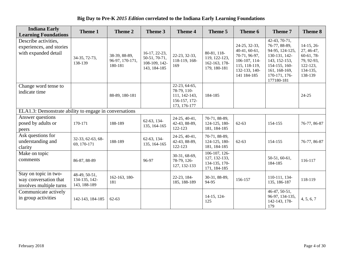| <b>Indiana Early</b><br><b>Learning Foundations</b>                       | Theme 1                                        | Theme 2                                     | Theme 3                                                         | <b>Theme 4</b>                                                                 | Theme 5                                                           | Theme 6                                                                                                           | Theme 7                                                                                                                                              | Theme 8                                                                                          |  |  |
|---------------------------------------------------------------------------|------------------------------------------------|---------------------------------------------|-----------------------------------------------------------------|--------------------------------------------------------------------------------|-------------------------------------------------------------------|-------------------------------------------------------------------------------------------------------------------|------------------------------------------------------------------------------------------------------------------------------------------------------|--------------------------------------------------------------------------------------------------|--|--|
| Describe activities,<br>experiences, and stories<br>with expanded detail  | 34-35, 72-73,<br>138-139                       | 38-39, 88-89,<br>96-97, 170-171,<br>180-181 | 16-17, 22-23,<br>50-51, 70-71,<br>108-109, 142-<br>143, 184-185 | 22-23, 32-33,<br>118-119, 168-<br>169                                          | 80-81, 118-<br>119, 122-123,<br>162-163, 178-<br>179, 180-181     | 24-25, 32-33,<br>40-41, 60-61,<br>70-71, 96-97,<br>106-107, 114-<br>115, 118-119,<br>132-133, 140-<br>141 184-185 | 42-43, 70-71,<br>76-77, 88-89,<br>94-95, 124-125,<br>130-131, 142-<br>143, 152-153,<br>154-155, 160-<br>161, 168-169,<br>170-171, 176-<br>177180-181 | $14-15, 26-$<br>27, 46-47,<br>$60-61, 78-$<br>79, 92-93,<br>$122 - 123$ ,<br>134-135,<br>138-139 |  |  |
| Change word tense to<br>indicate time                                     |                                                | 88-89, 180-181                              |                                                                 | 22-23, 64-65,<br>78-79, 110-<br>111, 142-143,<br>156-157, 172-<br>173, 176-177 | 184-185                                                           |                                                                                                                   |                                                                                                                                                      | $24 - 25$                                                                                        |  |  |
| ELA1.3: Demonstrate ability to engage in conversations                    |                                                |                                             |                                                                 |                                                                                |                                                                   |                                                                                                                   |                                                                                                                                                      |                                                                                                  |  |  |
| Answer questions<br>posed by adults or<br>peers                           | 170-171                                        | 188-189                                     | 62-63, 134-<br>135, 164-165                                     | 24-25, 40-41,<br>42-43, 88-89,<br>122-123                                      | 70-71, 88-89,<br>124-125, 180-<br>181, 184-185                    | $62 - 63$                                                                                                         | 154-155                                                                                                                                              | 76-77, 86-87                                                                                     |  |  |
| Ask questions for<br>understanding and<br>clarity                         | 32-33, 62-63, 68-<br>69, 170-171               | 188-189                                     | 62-63, 134-<br>135, 164-165                                     | 24-25, 40-41,<br>42-43, 88-89,<br>122-123                                      | 70-71, 88-89,<br>124-125, 180-<br>181, 184-185                    | $62 - 63$                                                                                                         | 154-155                                                                                                                                              | 76-77, 86-87                                                                                     |  |  |
| Make on topic<br>comments                                                 | 86-87, 88-89                                   |                                             | 96-97                                                           | 30-31, 68-69,<br>78-79, 126-<br>127, 132-133                                   | $106-107, 126-$<br>127, 132-133,<br>134-135, 170-<br>171, 184-185 |                                                                                                                   | 50-51, 60-61,<br>184-185                                                                                                                             | 116-117                                                                                          |  |  |
| Stay on topic in two-<br>way conversation that<br>involves multiple turns | 48-49, 50-51,<br>134-135, 142-<br>143, 188-189 | 162-163, 180-<br>181                        |                                                                 | 22-23, 184-<br>185, 188-189                                                    | 30-31, 88-89,<br>94-95                                            | 156-157                                                                                                           | 110-111, 134-<br>135, 186-187                                                                                                                        | 118-119                                                                                          |  |  |
| Communicate actively<br>in group activities                               | 142-143, 184-185                               | $62 - 63$                                   |                                                                 |                                                                                | 14-15, 124-<br>125                                                |                                                                                                                   | $46-47, 50-51,$<br>96-97, 134-135,<br>142-143, 178-<br>179                                                                                           | 4, 5, 6, 7                                                                                       |  |  |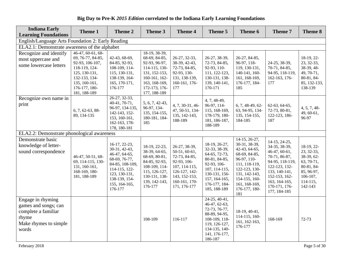|  |  |  |  |  |  |  |  |  |  |  | Big Day to Pre-K 2015 Edition correlated to the Indiana Early Learning Foundations |
|--|--|--|--|--|--|--|--|--|--|--|------------------------------------------------------------------------------------|
|--|--|--|--|--|--|--|--|--|--|--|------------------------------------------------------------------------------------|

| <b>Indiana Early</b><br><b>Learning Foundations</b>                                                         | Theme 1                                                                                                                                                          | Theme 2                                                                                                                                                            | Theme 3                                                                                                                                              | <b>Theme 4</b>                                                                                                                                     | Theme 5                                                                                                                                                             | Theme 6                                                                                                                                                                                      | Theme 7                                                                                                                                                                                  | Theme 8                                                                                                             |  |  |
|-------------------------------------------------------------------------------------------------------------|------------------------------------------------------------------------------------------------------------------------------------------------------------------|--------------------------------------------------------------------------------------------------------------------------------------------------------------------|------------------------------------------------------------------------------------------------------------------------------------------------------|----------------------------------------------------------------------------------------------------------------------------------------------------|---------------------------------------------------------------------------------------------------------------------------------------------------------------------|----------------------------------------------------------------------------------------------------------------------------------------------------------------------------------------------|------------------------------------------------------------------------------------------------------------------------------------------------------------------------------------------|---------------------------------------------------------------------------------------------------------------------|--|--|
| English/Language Arts Foundation 2: Early Reading                                                           |                                                                                                                                                                  |                                                                                                                                                                    |                                                                                                                                                      |                                                                                                                                                    |                                                                                                                                                                     |                                                                                                                                                                                              |                                                                                                                                                                                          |                                                                                                                     |  |  |
| ELA2.1: Demonstrate awareness of the alphabet                                                               |                                                                                                                                                                  |                                                                                                                                                                    |                                                                                                                                                      |                                                                                                                                                    |                                                                                                                                                                     |                                                                                                                                                                                              |                                                                                                                                                                                          |                                                                                                                     |  |  |
| Recognize and identify<br>most uppercase and<br>some lowercase letters                                      | $46-47, 60-61, 68-$<br>69, 76-77, 84-85,<br>92-93, 106-107,<br>118-119, 124-<br>125, 130-131,<br>132-133, 134-<br>135, 160-161,<br>176-177, 180-<br>181, 188-189 | 42-43, 68-69,<br>84-85, 92-93,<br>108-109, 114-<br>115, 130-131,<br>138-139, 164-<br>165, 170-171,<br>176-177                                                      | 18-19, 38-39,<br>68-69, 84-85,<br>92-93, 96-97,<br>114-115, 130-<br>131, 152-153,<br>160-161, 162-<br>163, 168-169,<br>172-173, 176-<br>177, 188-189 | 26-27, 32-33,<br>38-39, 42-43,<br>72-73, 84-85,<br>92-93, 130-<br>131, 138-139,<br>160-161, 176-<br>177                                            | 26-27, 38-39,<br>72-73, 84-85,<br>92-93, 110-<br>111, 122-123,<br>130-131, 138-<br>139, 140-141,<br>170-171                                                         | 26-27, 84-85,<br>96-97, 118-<br>119, 130-131,<br>140-141, 160-<br>161, 168-169,<br>176-177, 184-<br>185                                                                                      | 24-25, 38-39,<br>70-71, 84-85,<br>94-95, 118-119,<br>162-163, 176-<br>177                                                                                                                | 18-19, 22-<br>23, 32-33,<br>38-39, 48-<br>49, 70-71,<br>80-81, 84-<br>85, 132-133,<br>138-139                       |  |  |
| Recognize own name in<br>print                                                                              | 6, 7, 62-63, 88-<br>89, 134-135                                                                                                                                  | 26-27, 32-33,<br>40-41, 70-71,<br>96-97, 134-135,<br>142-143, 152-<br>153, 160-161,<br>162-163, 178-<br>178, 180-181                                               | 5, 6, 7, 42-43,<br>96-97, 134-<br>135, 154-155,<br>180-181, 184-<br>185                                                                              | 4, 7, 30-31, 46-<br>47, 50-51, 134-<br>135, 142-143,<br>188-189                                                                                    | 4, 7, 48-49,<br>96-97, 114-<br>115, 168-169,<br>178-179, 180-<br>181, 186-187,<br>188-189                                                                           | $6, 7, 48-49, 62-$<br>63, 94-95, 134-<br>135, 154-155,<br>184-185                                                                                                                            | 62-63, 64-65,<br>72-73, 80-81,<br>122-123, 186-<br>187                                                                                                                                   | 4, 5, 7, 48<br>49, 60-61,<br>96-97                                                                                  |  |  |
| ELA2.2: Demonstrate phonological awareness                                                                  |                                                                                                                                                                  |                                                                                                                                                                    |                                                                                                                                                      |                                                                                                                                                    |                                                                                                                                                                     |                                                                                                                                                                                              |                                                                                                                                                                                          |                                                                                                                     |  |  |
| Demonstrate basic<br>knowledge of letter-<br>sound correspondence                                           | 46-47, 50-51, 68-<br>69, 114-115, 130-<br>131, 160-161,<br>168-169, 180-<br>181, 188-189                                                                         | 16-17, 22-23,<br>30-31, 42-43,<br>46-47, 64-65,<br>68-69, 76-77,<br>84-85, 108-109,<br>114-115, 122-<br>123, 130-131,<br>138-139, 154-<br>155, 164-165,<br>176-177 | 18-19, 22-23,<br>38-39, 64-65,<br>68-69, 80-81,<br>84-85, 92-93,<br>108-109, 114-<br>115, 126-127,<br>130-131, 138-<br>139, 142-143,<br>176-177      | 26-27, 38-39,<br>50-51, 60-61,<br>72-73, 84-85,<br>92-93, 106-<br>107, 114-115,<br>126-127, 142-<br>143, 152-153,<br>160-161, 170-<br>171, 176-177 | 18-19, 26-27,<br>32-33, 38-39,<br>64-65, 72-73,<br>80-81, 84-85,<br>92-93, 106-<br>107, 114-115,<br>130-131, 156-<br>157, 164-165,<br>176-177, 184-<br>185, 188-189 | 14-15, 26-27,<br>30-31, 38-39,<br>42-43, 64-65,<br>68-69, 84-85,<br>96-97, 110-<br>111, 118-119,<br>122-123, 130-<br>131, 142-143,<br>154-155, 160-<br>161, 168-169,<br>176-177, 180-<br>181 | 14-15, 24-25,<br>34-35, 38-39,<br>46-47, 60-61,<br>70-71, 86-87,<br>94-95, 118-119,<br>122-123, 132-<br>133, 140-141,<br>152-153, 162-<br>163, 164-165,<br>170-171, 176-<br>177, 184-185 | 18-19, 22-<br>23, 32-33,<br>38-39, 62-<br>63, 70-71,<br>80-81, 84-<br>85, 96-97,<br>106-107,<br>114-115,<br>142-143 |  |  |
| Engage in rhyming<br>games and songs; can<br>complete a familiar<br>rhyme<br>Make rhymes to simple<br>words |                                                                                                                                                                  |                                                                                                                                                                    | 108-109                                                                                                                                              | 116-117                                                                                                                                            | $24-25, 40-41,$<br>46-47, 62-63,<br>72-73, 76-77,<br>88-89, 94-95,<br>108-109, 118-<br>119, 126-127,<br>134-135, 140-<br>141, 176-177,<br>186-187                   | 18-19, 40-41,<br>114-115, 160-<br>161, 162-163,<br>176-177                                                                                                                                   | 168-169                                                                                                                                                                                  | 72-73                                                                                                               |  |  |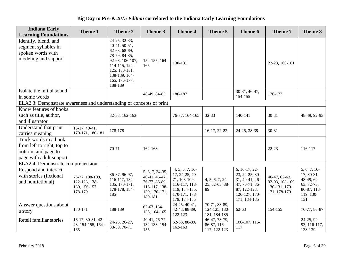| <b>Indiana Early</b><br><b>Learning Foundations</b>                                                   | Theme 1                                                      | Theme 2                                                                                                                                                            | Theme 3                                                                                        | <b>Theme 4</b>                                                                                                      | Theme 5                                        | Theme 6                                                                                                                | Theme 7                                                           | Theme 8                                                                                    |
|-------------------------------------------------------------------------------------------------------|--------------------------------------------------------------|--------------------------------------------------------------------------------------------------------------------------------------------------------------------|------------------------------------------------------------------------------------------------|---------------------------------------------------------------------------------------------------------------------|------------------------------------------------|------------------------------------------------------------------------------------------------------------------------|-------------------------------------------------------------------|--------------------------------------------------------------------------------------------|
| Identify, blend, and<br>segment syllables in<br>spoken words with<br>modeling and support             |                                                              | 24-25, 32-33,<br>40-41, 50-51,<br>62-63, 68-69,<br>78-79, 84-85,<br>92-93, 106-107,<br>114-115, 124-<br>125, 130-131,<br>138-139, 164-<br>165, 176-177,<br>188-189 | 154-155, 164-<br>165                                                                           | 130-131                                                                                                             |                                                |                                                                                                                        | 22-23, 160-161                                                    |                                                                                            |
| Isolate the initial sound<br>in some words                                                            |                                                              |                                                                                                                                                                    | 48-49, 84-85                                                                                   | 186-187                                                                                                             |                                                | 30-31, 46-47,<br>154-155                                                                                               | 176-177                                                           |                                                                                            |
| ELA2.3: Demonstrate awareness and understanding of concepts of print                                  |                                                              |                                                                                                                                                                    |                                                                                                |                                                                                                                     |                                                |                                                                                                                        |                                                                   |                                                                                            |
| Know features of books<br>such as title, author,<br>and illustrator                                   |                                                              | 32-33, 162-163                                                                                                                                                     |                                                                                                | 76-77, 164-165                                                                                                      | 32-33                                          | 140-141                                                                                                                | $30 - 31$                                                         | 48-49, 92-93                                                                               |
| Understand that print<br>carries meaning                                                              | $16-17, 40-41,$<br>170-171, 180-181                          | 178-178                                                                                                                                                            |                                                                                                |                                                                                                                     | 16-17, 22-23                                   | 24-25, 38-39                                                                                                           | $30 - 31$                                                         |                                                                                            |
| Track words in a book<br>from left to right, top to<br>bottom, and page to<br>page with adult support |                                                              | 70-71                                                                                                                                                              | 162-163                                                                                        |                                                                                                                     |                                                |                                                                                                                        | $22 - 23$                                                         | 116-117                                                                                    |
| ELA2.4: Demonstrate comprehension                                                                     |                                                              |                                                                                                                                                                    |                                                                                                |                                                                                                                     |                                                |                                                                                                                        |                                                                   |                                                                                            |
| Respond and interact<br>with stories (fictional<br>and nonfictional)                                  | 76-77, 108-109,<br>122-123, 138-<br>139, 156-157,<br>178-179 | 86-87, 96-97,<br>116-117, 134-<br>135, 170-171,<br>178-178, 184-<br>185                                                                                            | 5, 6, 7, 34-35,<br>40-41, 46-47,<br>76-77, 88-89,<br>116-117, 138-<br>139, 170-171,<br>180-181 | 4, 5, 6, 7, 16<br>17, 24-25, 70-<br>71, 108-109,<br>116-117, 118-<br>119, 134-135,<br>170-171, 178-<br>179, 184-185 | 4, 5, 6, 7, 24<br>25, 62-63, 88-<br>89         | $6, 16-17, 22-$<br>23, 24-25, 30-<br>31, 40-41, 46-<br>47, 70-71, 86-<br>87, 122-123,<br>126-127, 170-<br>171, 184-185 | 46-47, 62-63,<br>92-93, 108-109,<br>130-131, 170-<br>171, 178-179 | 5, 6, 7, 16<br>$17, 30-31,$<br>48-49, 62-<br>63, 72-73,<br>86-87, 118-<br>119, 130-<br>131 |
| Answer questions about<br>a story                                                                     | 170-171                                                      | 188-189                                                                                                                                                            | 62-63, 134-<br>135, 164-165                                                                    | 24-25, 40-41,<br>42-43, 88-89,<br>122-123                                                                           | 70-71, 88-89,<br>124-125, 180-<br>181, 184-185 | $62 - 63$                                                                                                              | 154-155                                                           | 76-77, 86-87                                                                               |
| Retell familiar stories                                                                               | 16-17, 30-31, 42-<br>43, 154-155, 164-<br>165                | 24-25, 26-27,<br>38-39, 70-71                                                                                                                                      | 40-41, 76-77,<br>132-133, 154-<br>155                                                          | 62-63, 88-89,<br>162-163                                                                                            | 46-47, 78-79,<br>86-87, 116-<br>117, 122-123   | 106-107, 116-<br>117                                                                                                   |                                                                   | 24-25, 92-<br>93, 116-117,<br>138-139                                                      |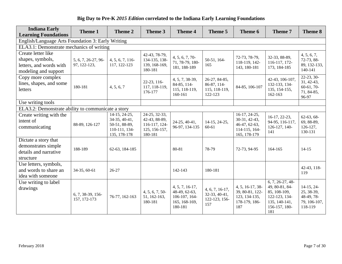| <b>Indiana Early</b><br><b>Learning Foundations</b>                                       | <b>Theme 1</b>                      | <b>Theme 2</b>                                                                   | Theme 3                                                                     | <b>Theme 4</b>                                                                  | Theme 5                                                    | Theme 6                                                                          | <b>Theme 7</b>                                                                                                 | Theme 8                                                             |
|-------------------------------------------------------------------------------------------|-------------------------------------|----------------------------------------------------------------------------------|-----------------------------------------------------------------------------|---------------------------------------------------------------------------------|------------------------------------------------------------|----------------------------------------------------------------------------------|----------------------------------------------------------------------------------------------------------------|---------------------------------------------------------------------|
| English/Language Arts Foundation 3: Early Writing                                         |                                     |                                                                                  |                                                                             |                                                                                 |                                                            |                                                                                  |                                                                                                                |                                                                     |
| ELA3.1: Demonstrate mechanics of writing                                                  |                                     |                                                                                  |                                                                             |                                                                                 |                                                            |                                                                                  |                                                                                                                |                                                                     |
| Create letter like<br>shapes, symbols,<br>letters, and words with<br>modeling and support | 5, 6, 7, 26-27, 96-<br>97, 122-123, | 4, 5, 6, 7, 116-<br>117, 122-123                                                 | 42-43, 78-79,<br>134-135, 138-<br>139, 168-169,<br>180-181                  | 4, 5, 6, 7, 70<br>71, 78-79, 180-<br>181, 188-189                               | 50-51, 164-<br>165                                         | 72-73, 78-79,<br>118-119, 142-<br>143, 180-181                                   | 32-33, 88-89,<br>116-117, 172-<br>173, 184-185                                                                 | 4, 5, 6, 7,<br>72-73, 88-<br>89, 132-133,<br>140-141                |
| Copy more complex<br>lines, shapes, and some<br>letters                                   | 180-181                             | 4, 5, 6, 7                                                                       | 22-23, 116-<br>117, 118-119,<br>176-177                                     | 4, 5, 7, 38-39,<br>84-85, 114-<br>115, 118-119,<br>160-161                      | 26-27, 84-85,<br>86-87, 114-<br>115, 118-119,<br>122-123   | 84-85, 106-107                                                                   | 42-43, 106-107,<br>132-133, 134-<br>135, 154-155,<br>162-163                                                   | $22-23, 30-$<br>$31, 42-43,$<br>$60-61, 70-$<br>71, 84-85,<br>96-97 |
| Use writing tools                                                                         |                                     |                                                                                  |                                                                             |                                                                                 |                                                            |                                                                                  |                                                                                                                |                                                                     |
| ELA3.2: Demonstrate ability to communicate a story                                        |                                     |                                                                                  |                                                                             |                                                                                 |                                                            |                                                                                  |                                                                                                                |                                                                     |
| Create writing with the<br>intent of<br>communicating                                     | 88-89, 126-127                      | 14-15, 24-25,<br>34-35, 40-41,<br>50-51, 88-89,<br>110-111, 134-<br>135, 178-178 | 24-25, 32-33,<br>42-43, 88-89,<br>116-117, 124-<br>125, 156-157,<br>180-181 | 24-25, 40-41,<br>96-97, 134-135                                                 | 14-15, 24-25,<br>60-61                                     | 16-17, 24-25,<br>30-31, 42-43,<br>46-47, 62-63,<br>114-115, 164-<br>165, 178-179 | 16-17, 22-23,<br>94-95, 116-117,<br>126-127, 140-<br>141                                                       | $62-63, 68-$<br>69, 88-89,<br>$126 - 127$ ,<br>130-131              |
| Dictate a story that<br>demonstrates simple<br>details and narrative<br>structure         | 188-189                             | 62-63, 184-185                                                                   |                                                                             | 80-81                                                                           | 78-79                                                      | 72-73, 94-95                                                                     | 164-165                                                                                                        | $14 - 15$                                                           |
| Use letters, symbols,<br>and words to share an<br>idea with someone                       | 34-35, 60-61                        | $26 - 27$                                                                        |                                                                             | 142-143                                                                         | 180-181                                                    |                                                                                  |                                                                                                                | 42-43, 118-<br>119                                                  |
| Use writing to label<br>drawings                                                          | 6, 7, 38-39, 156-<br>157, 172-173   | 76-77, 162-163                                                                   | 4, 5, 6, 7, 50<br>51, 162-163,<br>180-181                                   | $4, 5, 7, 16-17,$<br>48-49, 62-63,<br>106-107, 164-<br>165, 168-169,<br>180-181 | $4, 6, 7, 16-17,$<br>32-33, 40-41,<br>122-123, 156-<br>157 | 4, 5, 16-17, 38-<br>39, 80-81, 122-<br>123, 134-135,<br>178-179, 186-<br>187     | $6, 7, 26-27, 48-$<br>49, 80-81, 84-<br>85, 108-109,<br>122-123, 134-<br>135, 140-141,<br>156-157, 180-<br>181 | $14-15, 24-$<br>25, 38-39,<br>48-49, 78-<br>79, 106-107,<br>118-119 |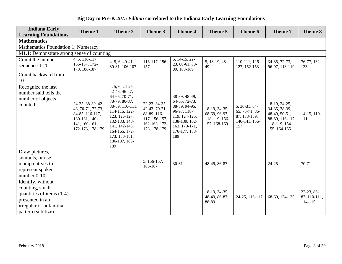| <b>Indiana Early</b>                                                                                                                  | Theme 1                                                                                                         | Theme 2                                                                                                                                                                                                             | Theme 3                                                                                         | <b>Theme 4</b>                                                                                                                            | Theme 5                                                         | Theme 6                                                                 | Theme 7                                                                                             | Theme 8                               |
|---------------------------------------------------------------------------------------------------------------------------------------|-----------------------------------------------------------------------------------------------------------------|---------------------------------------------------------------------------------------------------------------------------------------------------------------------------------------------------------------------|-------------------------------------------------------------------------------------------------|-------------------------------------------------------------------------------------------------------------------------------------------|-----------------------------------------------------------------|-------------------------------------------------------------------------|-----------------------------------------------------------------------------------------------------|---------------------------------------|
| <b>Learning Foundations</b>                                                                                                           |                                                                                                                 |                                                                                                                                                                                                                     |                                                                                                 |                                                                                                                                           |                                                                 |                                                                         |                                                                                                     |                                       |
| <b>Mathematics</b>                                                                                                                    |                                                                                                                 |                                                                                                                                                                                                                     |                                                                                                 |                                                                                                                                           |                                                                 |                                                                         |                                                                                                     |                                       |
| <b>Mathematics Foundation 1: Numeracy</b>                                                                                             |                                                                                                                 |                                                                                                                                                                                                                     |                                                                                                 |                                                                                                                                           |                                                                 |                                                                         |                                                                                                     |                                       |
| M1.1: Demonstrate strong sense of counting                                                                                            |                                                                                                                 |                                                                                                                                                                                                                     |                                                                                                 |                                                                                                                                           |                                                                 |                                                                         |                                                                                                     |                                       |
| Count the number<br>sequence 1-20                                                                                                     | 4, 5, 116-117,<br>156-157, 172-<br>173, 186-187                                                                 | $4, 5, 6, 40-41,$<br>80-81, 106-107                                                                                                                                                                                 | 116-117, 156-<br>157                                                                            | 5, 14-15, 22-<br>23, 60-61, 88-<br>89, 168-169                                                                                            | 5, 18-19, 48-<br>49                                             | 110-111, 126-<br>127, 152-153                                           | 34-35, 72-73,<br>96-97, 118-119                                                                     | 76-77, 132-<br>133                    |
| Count backward from<br>10                                                                                                             |                                                                                                                 |                                                                                                                                                                                                                     |                                                                                                 |                                                                                                                                           |                                                                 |                                                                         |                                                                                                     |                                       |
| Recognize the last<br>number said tells the<br>number of objects<br>counted                                                           | 24-25, 38-39, 42-<br>43, 70-71, 72-73,<br>84-85, 116-117,<br>130-131, 140-<br>141, 160-161,<br>172-173, 178-179 | 4, 5, 6, 24-25,<br>42-43, 46-47,<br>64-65, 70-71,<br>78-79, 86-87,<br>88-89, 110-111,<br>114-115, 122-<br>123, 126-127,<br>132-133, 140-<br>141, 142-143,<br>164-165, 172-<br>173, 180-181,<br>186-187, 188-<br>189 | 22-23, 34-35,<br>42-43, 70-71,<br>88-89, 116-<br>117, 156-157,<br>162-163, 172-<br>173, 178-179 | 38-39, 48-49,<br>64-65, 72-73,<br>88-89, 94-95,<br>96-97, 118-<br>119, 124-125,<br>138-139, 162-<br>163, 170-171,<br>176-177, 188-<br>189 | 18-19, 34-35,<br>68-69, 96-97,<br>118-119, 156-<br>157, 168-169 | 5, 30-31, 64-<br>65, 70-71, 86-<br>87, 138-139,<br>140-141, 156-<br>157 | 18-19, 24-25,<br>34-35, 38-39,<br>48-49, 50-51,<br>88-89, 116-117,<br>118-119, 154-<br>155, 164-165 | $14-15$ , 110-<br>111                 |
| Draw pictures,<br>symbols, or use<br>manipulatives to<br>represent spoken<br>number 0-10                                              |                                                                                                                 |                                                                                                                                                                                                                     | 5, 156-157,<br>186-187                                                                          | $30 - 31$                                                                                                                                 | 48-49, 86-87                                                    |                                                                         | 24-25                                                                                               | 70-71                                 |
| Identify, without<br>counting, small<br>quantities of items (1-4)<br>presented in an<br>irregular or unfamiliar<br>pattern (subitize) |                                                                                                                 |                                                                                                                                                                                                                     |                                                                                                 |                                                                                                                                           | 18-19, 34-35,<br>48-49, 86-87,<br>88-89                         | 24-25, 116-117                                                          | 68-69, 134-135                                                                                      | 22-23, 86-<br>87, 110-111,<br>114-115 |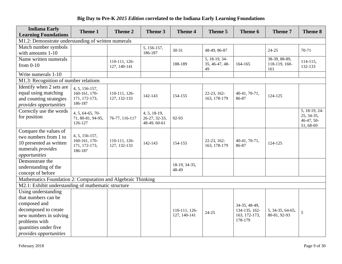| <b>Indiana Early</b><br><b>Learning Foundations</b>                                                                                                                              | Theme 1                                                     | Theme 2                       | Theme 3                                         | <b>Theme 4</b>                | Theme 5                               | Theme 6                                                    | Theme 7                               | Theme 8                                                  |
|----------------------------------------------------------------------------------------------------------------------------------------------------------------------------------|-------------------------------------------------------------|-------------------------------|-------------------------------------------------|-------------------------------|---------------------------------------|------------------------------------------------------------|---------------------------------------|----------------------------------------------------------|
| M1.2: Demonstrate understanding of written numerals                                                                                                                              |                                                             |                               |                                                 |                               |                                       |                                                            |                                       |                                                          |
| Match number symbols<br>with amounts 1-10                                                                                                                                        |                                                             |                               | 5, 156-157,<br>186-187                          | $30 - 31$                     | 48-49, 86-87                          |                                                            | 24-25                                 | 70-71                                                    |
| Name written numerals<br>from $0-10$                                                                                                                                             |                                                             | 110-111, 126-<br>127, 140-141 |                                                 | 188-189                       | 5, 18-19, 34-<br>35, 46-47, 48-<br>49 | 164-165                                                    | 38-39, 88-89,<br>118-119, 160-<br>161 | $114 - 115$ ,<br>132-133                                 |
| Write numerals 1-10                                                                                                                                                              |                                                             |                               |                                                 |                               |                                       |                                                            |                                       |                                                          |
| M1.3: Recognition of number relations                                                                                                                                            |                                                             |                               |                                                 |                               |                                       |                                                            |                                       |                                                          |
| Identify when 2 sets are<br>equal using matching<br>and counting strategies<br>provides opportunities                                                                            | 4, 5, 156-157,<br>160-161, 170-<br>171, 172-173,<br>186-187 | 110-111, 126-<br>127, 132-133 | 142-143                                         | 154-155                       | 22-23, 162-<br>163, 178-179           | 40-41, 70-71,<br>86-87                                     | 124-125                               |                                                          |
| Correctly use the words<br>for position                                                                                                                                          | 4, 5, 64-65, 70-<br>71, 80-81, 94-95,<br>126-127            | 76-77, 116-117                | $4, 5, 18-19,$<br>26-27, 32-33,<br>48-49, 60-61 | 92-93                         |                                       |                                                            |                                       | 5, 18-19, 24-<br>25, 34-35,<br>$46-47, 50-$<br>51, 68-69 |
| Compare the values of<br>two numbers from 1 to<br>10 presented as written<br>numerals provides<br>opportunities                                                                  | 4, 5, 156-157,<br>160-161, 170-<br>171, 172-173,<br>186-187 | 110-111, 126-<br>127, 132-133 | 142-143                                         | 154-155                       | 22-23, 162-<br>163, 178-179           | 40-41, 70-71,<br>86-87                                     | 124-125                               |                                                          |
| Demonstrate the<br>understanding of the<br>concept of before                                                                                                                     |                                                             |                               |                                                 | 18-19, 34-35,<br>48-49        |                                       |                                                            |                                       |                                                          |
| Mathematics Foundation 2: Computation and Algebraic Thinking                                                                                                                     |                                                             |                               |                                                 |                               |                                       |                                                            |                                       |                                                          |
| M2.1: Exhibit understanding of mathematic structure                                                                                                                              |                                                             |                               |                                                 |                               |                                       |                                                            |                                       |                                                          |
| Using understanding<br>that numbers can be<br>composed and<br>decomposed to create<br>new numbers in solving<br>problems with<br>quantities under five<br>provides opportunities |                                                             |                               |                                                 | 110-111, 126-<br>127, 140-141 | $24 - 25$                             | 34-35, 48-49,<br>134-135, 162-<br>163, 172-173,<br>178-179 | 5, 34-35, 64-65,<br>80-81, 92-93      | 5                                                        |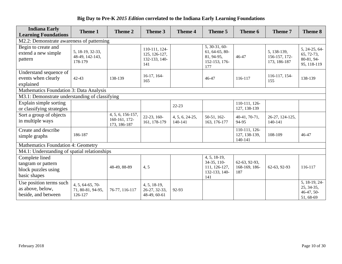| <b>Indiana Early</b><br><b>Learning Foundations</b>                         | <b>Theme 1</b>                                   | <b>Theme 2</b>                                     | Theme 3                                                | <b>Theme 4</b>             | Theme 5                                                                 | Theme 6                                   | Theme 7                                      | <b>Theme 8</b>                                           |
|-----------------------------------------------------------------------------|--------------------------------------------------|----------------------------------------------------|--------------------------------------------------------|----------------------------|-------------------------------------------------------------------------|-------------------------------------------|----------------------------------------------|----------------------------------------------------------|
| M2.2: Demonstrate awareness of patterning                                   |                                                  |                                                    |                                                        |                            |                                                                         |                                           |                                              |                                                          |
| Begin to create and<br>extend a new simple<br>pattern                       | 5, 18-19, 32-33,<br>48-49, 142-143,<br>178-179   |                                                    | 110-111, 124-<br>125, 126-127,<br>132-133, 140-<br>141 |                            | 5, 30-31, 60-<br>$61, 64-65, 80-$<br>81, 94-95,<br>152-153, 176-<br>177 | 46-47                                     | 5, 138-139,<br>156-157, 172-<br>173, 186-187 | 5, 24-25, 64-<br>65, 72-73,<br>80-81, 94-<br>95, 118-119 |
| Understand sequence of<br>events when clearly<br>explained                  | $42 - 43$                                        | 138-139                                            | $16-17, 164-$<br>165                                   |                            | 46-47                                                                   | 116-117                                   | 116-117, 154-<br>155                         | 138-139                                                  |
| Mathematics Foundation 3: Data Analysis                                     |                                                  |                                                    |                                                        |                            |                                                                         |                                           |                                              |                                                          |
| M3.1: Demonstrate understanding of classifying                              |                                                  |                                                    |                                                        |                            |                                                                         |                                           |                                              |                                                          |
| Explain simple sorting<br>or classifying strategies                         |                                                  |                                                    |                                                        | $22 - 23$                  |                                                                         | 110-111, 126-<br>127, 138-139             |                                              |                                                          |
| Sort a group of objects<br>in multiple ways                                 |                                                  | 4, 5, 6, 156-157,<br>160-161, 172-<br>173, 186-187 | 22-23, 160-<br>161, 178-179                            | 4, 5, 6, 24-25,<br>140-141 | 50-51, 162-<br>163, 176-177                                             | 40-41, 70-71,<br>94-95                    | 26-27, 124-125,<br>140-141                   |                                                          |
| Create and describe<br>simple graphs                                        | 186-187                                          |                                                    |                                                        |                            |                                                                         | 110-111, 126-<br>127, 138-139,<br>140-141 | 108-109                                      | 46-47                                                    |
| <b>Mathematics Foundation 4: Geometry</b>                                   |                                                  |                                                    |                                                        |                            |                                                                         |                                           |                                              |                                                          |
| M4.1: Understanding of spatial relationships                                |                                                  |                                                    |                                                        |                            |                                                                         |                                           |                                              |                                                          |
| Complete lined<br>tangram or pattern<br>block puzzles using<br>basic shapes |                                                  | 48-49, 88-89                                       | 4,5                                                    |                            | 4, 5, 18-19,<br>34-35, 110-<br>111, 126-127,<br>132-133, 140-<br>141    | 62-63, 92-93,<br>168-169, 186-<br>187     | 62-63, 92-93                                 | 116-117                                                  |
| Use position terms such<br>as above, below,<br>beside, and between          | 4, 5, 64-65, 70-<br>71, 80-81, 94-95,<br>126-127 | 76-77, 116-117                                     | 4, 5, 18-19,<br>26-27, 32-33,<br>48-49, 60-61          | 92-93                      |                                                                         |                                           |                                              | 5, 18-19, 24-<br>25, 34-35,<br>$46-47, 50-$<br>51, 68-69 |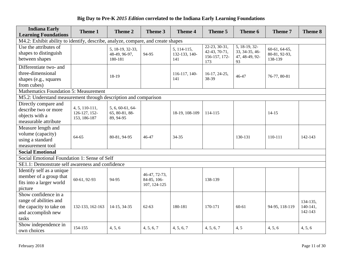| <b>Indiana Early</b><br><b>Learning Foundations</b>                                                      | Theme 1                                           | Theme 2                                         | Theme 3                                      | Theme 4                             | Theme 5                                                | Theme 6                                                 | Theme 7                                     | Theme 8                           |
|----------------------------------------------------------------------------------------------------------|---------------------------------------------------|-------------------------------------------------|----------------------------------------------|-------------------------------------|--------------------------------------------------------|---------------------------------------------------------|---------------------------------------------|-----------------------------------|
| M4.2: Exhibit ability to identify, describe, analyze, compare, and create shapes                         |                                                   |                                                 |                                              |                                     |                                                        |                                                         |                                             |                                   |
| Use the attributes of<br>shapes to distinguish<br>between shapes                                         |                                                   | 5, 18-19, 32-33,<br>48-49, 96-97,<br>180-181    | 94-95                                        | 5, 114-115,<br>132-133, 140-<br>141 | 22-23, 30-31,<br>42-43, 70-71,<br>156-157, 172-<br>173 | 5, 18-19, 32-<br>33, 34-35, 46-<br>47, 48-49, 92-<br>93 | $60-61, 64-65,$<br>80-81, 92-93,<br>138-139 |                                   |
| Differentiate two- and<br>three-dimensional<br>shapes (e.g., squares<br>from cubes)                      |                                                   | 18-19                                           |                                              | 116-117, 140-<br>141                | 16-17, 24-25,<br>38-39                                 | 46-47                                                   | 76-77, 80-81                                |                                   |
| <b>Mathematics Foundation 5: Measurement</b>                                                             |                                                   |                                                 |                                              |                                     |                                                        |                                                         |                                             |                                   |
| M5.2: Understand measurement through description and comparison                                          |                                                   |                                                 |                                              |                                     |                                                        |                                                         |                                             |                                   |
| Directly compare and<br>describe two or more<br>objects with a<br>measurable attribute                   | $4, 5, 110-111,$<br>126-127, 152-<br>153, 186-187 | 5, 6, 60-61, 64-<br>65, 80-81, 88-<br>89, 94-95 |                                              | 18-19, 108-109                      | 114-115                                                |                                                         | $14 - 15$                                   |                                   |
| Measure length and<br>volume (capacity)<br>using a standard<br>measurement tool                          | $64 - 65$                                         | 80-81, 94-95                                    | 46-47                                        | 34-35                               |                                                        | 130-131                                                 | 110-111                                     | 142-143                           |
| <b>Social Emotional</b>                                                                                  |                                                   |                                                 |                                              |                                     |                                                        |                                                         |                                             |                                   |
| Social Emotional Foundation 1: Sense of Self                                                             |                                                   |                                                 |                                              |                                     |                                                        |                                                         |                                             |                                   |
| SE1.1: Demonstrate self awareness and confidence                                                         |                                                   |                                                 |                                              |                                     |                                                        |                                                         |                                             |                                   |
| Identify self as a unique<br>member of a group that<br>fits into a larger world<br>picture               | 60-61, 92-93                                      | 94-95                                           | 46-47, 72-73,<br>84-85, 106-<br>107, 124-125 |                                     | 138-139                                                |                                                         |                                             |                                   |
| Show confidence in a<br>range of abilities and<br>the capacity to take on<br>and accomplish new<br>tasks | 132-133, 162-163                                  | 14-15, 34-35                                    | $62 - 63$                                    | 180-181                             | 170-171                                                | $60 - 61$                                               | 94-95, 118-119                              | 134-135,<br>$140-141,$<br>142-143 |
| Show independence in<br>own choices                                                                      | 154-155                                           | 4, 5, 6                                         | 4, 5, 6, 7                                   | 4, 5, 6, 7                          | 4, 5, 6, 7                                             | 4, 5                                                    | 4, 5, 6                                     | 4, 5, 6                           |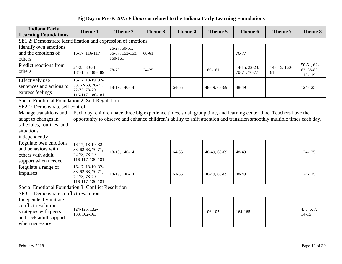| <b>Indiana Early</b><br><b>Learning Foundations</b>                                      | <b>Theme 1</b>                                                                                                            | Theme 2                                                                                                           | Theme 3   | <b>Theme 4</b> | Theme 5      | Theme 6                       | Theme 7              | Theme 8                               |  |  |  |
|------------------------------------------------------------------------------------------|---------------------------------------------------------------------------------------------------------------------------|-------------------------------------------------------------------------------------------------------------------|-----------|----------------|--------------|-------------------------------|----------------------|---------------------------------------|--|--|--|
| SE1.2: Demonstrate identification and expression of emotions                             |                                                                                                                           |                                                                                                                   |           |                |              |                               |                      |                                       |  |  |  |
| Identify own emotions<br>and the emotions of<br>others                                   | 16-17, 116-117                                                                                                            | 26-27, 50-51,<br>86-87, 152-153,<br>160-161                                                                       | $60 - 61$ |                |              | 76-77                         |                      |                                       |  |  |  |
| Predict reactions from<br>others                                                         | 24-25, 30-31,<br>184-185, 188-189                                                                                         | 78-79                                                                                                             | $24 - 25$ |                | 160-161      | 14-15, 22-23,<br>70-71, 76-77 | 114-115, 160-<br>161 | $50-51, 62-$<br>63, 88-89,<br>118-119 |  |  |  |
| Effectively use<br>sentences and actions to<br>express feelings                          | 16-17, 18-19, 32-<br>33, 62-63, 70-71,<br>72-73, 78-79,<br>116-117, 180-181                                               | 18-19, 140-141                                                                                                    |           | 64-65          | 48-49, 68-69 | 48-49                         |                      | 124-125                               |  |  |  |
| Social Emotional Foundation 2: Self-Regulation                                           |                                                                                                                           |                                                                                                                   |           |                |              |                               |                      |                                       |  |  |  |
| SE2.1: Demonstrate self control                                                          |                                                                                                                           |                                                                                                                   |           |                |              |                               |                      |                                       |  |  |  |
| Manage transitions and                                                                   |                                                                                                                           | Each day, children have three big experience times, small group time, and learning center time. Teachers have the |           |                |              |                               |                      |                                       |  |  |  |
| adapt to changes in<br>schedules, routines, and<br>situations                            | opportunity to observe and enhance children's ability to shift attention and transition smoothly multiple times each day. |                                                                                                                   |           |                |              |                               |                      |                                       |  |  |  |
| independently                                                                            |                                                                                                                           |                                                                                                                   |           |                |              |                               |                      |                                       |  |  |  |
| Regulate own emotions<br>and behaviors with<br>others with adult<br>support when needed  | 16-17, 18-19, 32-<br>33, 62-63, 70-71,<br>72-73, 78-79,<br>116-117, 180-181                                               | 18-19, 140-141                                                                                                    |           | 64-65          | 48-49, 68-69 | 48-49                         |                      | 124-125                               |  |  |  |
| Regulate a range of<br>impulses                                                          | 16-17, 18-19, 32-<br>33, 62-63, 70-71,<br>72-73, 78-79,<br>116-117, 180-181                                               | 18-19, 140-141                                                                                                    |           | 64-65          | 48-49, 68-69 | 48-49                         |                      | 124-125                               |  |  |  |
| Social Emotional Foundation 3: Conflict Resolution                                       |                                                                                                                           |                                                                                                                   |           |                |              |                               |                      |                                       |  |  |  |
| SE3.1: Demonstrate conflict resolution                                                   |                                                                                                                           |                                                                                                                   |           |                |              |                               |                      |                                       |  |  |  |
| Independently initiate                                                                   |                                                                                                                           |                                                                                                                   |           |                |              |                               |                      |                                       |  |  |  |
| conflict resolution<br>strategies with peers<br>and seek adult support<br>when necessary | 124-125, 132-<br>133, 162-163                                                                                             |                                                                                                                   |           |                | 106-107      | 164-165                       |                      | 4, 5, 6, 7,<br>$14 - 15$              |  |  |  |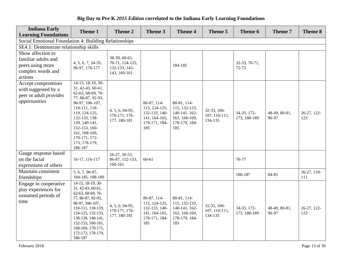| <b>Indiana Early</b><br><b>Learning Foundations</b>                                          | <b>Theme 1</b>                                                                                                                                                                                                                                         | Theme 2                                                           | Theme 3                                                                                | <b>Theme 4</b>                                                                         | Theme 5                                 | Theme 6                     | Theme 7                | Theme 8            |
|----------------------------------------------------------------------------------------------|--------------------------------------------------------------------------------------------------------------------------------------------------------------------------------------------------------------------------------------------------------|-------------------------------------------------------------------|----------------------------------------------------------------------------------------|----------------------------------------------------------------------------------------|-----------------------------------------|-----------------------------|------------------------|--------------------|
| Social Emotional Foundation 4: Building Relationships                                        |                                                                                                                                                                                                                                                        |                                                                   |                                                                                        |                                                                                        |                                         |                             |                        |                    |
| SE4.1: Demonstrate relationship skills                                                       |                                                                                                                                                                                                                                                        |                                                                   |                                                                                        |                                                                                        |                                         |                             |                        |                    |
| Show affection to<br>familiar adults and<br>peers using more<br>complex words and<br>actions | 4, 5, 6, 7, 34-35,<br>96-97, 176-177                                                                                                                                                                                                                   | 38-39, 60-61,<br>70-71, 124-125,<br>132-133, 142-<br>143, 160-161 |                                                                                        | 184-185                                                                                |                                         | 32-33, 70-71,<br>72-73      |                        |                    |
| Accept compromises<br>with suggested by a<br>peer or adult <i>provides</i><br>opportunities  | 14-15, 18-19, 30-<br>31, 42-43, 60-61,<br>62-63, 68-69, 76-<br>77, 86-87, 92-93,<br>96-97, 106-107,<br>110-111, 118-<br>119, 124-125,<br>132-133, 138-<br>139, 140-141,<br>152-153, 160-<br>161, 168-169,<br>170-171, 172-<br>173, 178-179,<br>186-187 | 4, 5, 6, 94-95,<br>170-171, 176-<br>177, 180-181                  | 86-87, 114-<br>115, 124-125,<br>132-133, 140-<br>141, 164-165,<br>170-171, 184-<br>185 | 80-81, 114-<br>115, 132-133,<br>140-141, 162-<br>163, 168-169,<br>178-179, 184-<br>185 | 32-33, 106-<br>107, 110-111,<br>134-135 | 34-35, 172-<br>173, 188-189 | 48-49, 80-81,<br>96-97 | 26-27, 122-<br>123 |
| Gauge response based<br>on the facial<br>expressions of others                               | 16-17, 116-117                                                                                                                                                                                                                                         | 26-27, 50-51,<br>86-87, 152-153,<br>160-161                       | $60 - 61$                                                                              |                                                                                        |                                         | 76-77                       |                        |                    |
| Maintain consistent<br>friendships                                                           | 5, 6, 7, 96-97,<br>184-185, 188-189                                                                                                                                                                                                                    |                                                                   |                                                                                        |                                                                                        |                                         | 186-187                     | 84-85                  | 26-27, 110-<br>111 |
| Engage in cooperative<br>play experiences for<br>sustained periods of<br>time                | 14-15, 18-19, 30-<br>31, 42-43, 60-61,<br>62-63, 68-69, 76-<br>77, 86-87, 92-93,<br>96-97, 106-107,<br>110-111, 118-119,<br>124-125, 132-133,<br>138-139, 140-141,<br>152-153, 160-161,<br>168-169, 170-171,<br>172-173, 178-179,<br>186-187           | 4, 5, 6, 94-95,<br>170-171, 176-<br>177, 180-181                  | 86-87, 114-<br>115, 124-125,<br>132-133, 140-<br>141, 164-165,<br>170-171, 184-<br>185 | 80-81, 114-<br>115, 132-133,<br>140-141, 162-<br>163, 168-169,<br>178-179, 184-<br>185 | 32-33, 106-<br>107, 110-111,<br>134-135 | 34-35, 172-<br>173, 188-189 | 48-49, 80-81,<br>96-97 | 26-27, 122-<br>123 |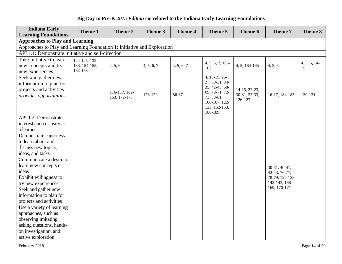| <b>Indiana Early</b><br><b>Learning Foundations</b>                      | Theme 1       | <b>Theme 2</b> | Theme 3    | <b>Theme 4</b> | Theme 5                          | Theme 6       | Theme 7                          | <b>Theme 8</b>    |
|--------------------------------------------------------------------------|---------------|----------------|------------|----------------|----------------------------------|---------------|----------------------------------|-------------------|
| <b>Approaches to Play and Learning</b>                                   |               |                |            |                |                                  |               |                                  |                   |
| Approaches to Play and Learning Foundation 1: Initiative and Exploration |               |                |            |                |                                  |               |                                  |                   |
| APL1.1: Demonstrate initiative and self-direction                        |               |                |            |                |                                  |               |                                  |                   |
| Take initiative to learn                                                 | 124-125, 132- |                |            |                |                                  |               |                                  |                   |
| new concepts and try                                                     | 133, 154-155, | 4, 5, 6        | 4, 5, 6, 7 | 4, 5, 6, 7     | 4, 5, 6, 7, 106<br>107           | 4, 5, 164-165 | 4, 5, 6                          | 4, 5, 6, 14<br>15 |
| new experiences                                                          | 162-163       |                |            |                |                                  |               |                                  |                   |
| Seek and gather new                                                      |               |                |            |                | 4, 18-19, 26-                    |               |                                  |                   |
| information to plan for                                                  |               |                |            |                | 27, 30-31, 34-                   |               |                                  |                   |
| projects and activities                                                  |               | 116-117, 162-  |            |                | 35, 42-43, 68-<br>69, 70-71, 72- | 14-15, 22-23, |                                  |                   |
| provides opportunities                                                   |               | 163, 172-173   | 178-179    | 86-87          | 73, 80-81,                       | 30-31, 32-33, | 16-17, 184-185                   | 130-131           |
|                                                                          |               |                |            |                | 106-107, 122-                    | 126-127       |                                  |                   |
|                                                                          |               |                |            |                | 123, 152-153,                    |               |                                  |                   |
|                                                                          |               |                |            |                | 188-189                          |               |                                  |                   |
| <b>APL1.2: Demonstrate</b>                                               |               |                |            |                |                                  |               |                                  |                   |
| interest and curiosity as<br>a learner                                   |               |                |            |                |                                  |               |                                  |                   |
|                                                                          |               |                |            |                |                                  |               |                                  |                   |
| Demonstrate eagerness<br>to learn about and                              |               |                |            |                |                                  |               |                                  |                   |
|                                                                          |               |                |            |                |                                  |               |                                  |                   |
| discuss new topics,<br>ideas, and tasks                                  |               |                |            |                |                                  |               |                                  |                   |
| Communicate a desire to                                                  |               |                |            |                |                                  |               |                                  |                   |
| learn new concepts or                                                    |               |                |            |                |                                  |               |                                  |                   |
| ideas                                                                    |               |                |            |                |                                  |               | 30-31, 40-41,                    |                   |
| Exhibit willingness to                                                   |               |                |            |                |                                  |               | 42-43, 76-77,<br>78-79, 122-123, |                   |
| try new experiences                                                      |               |                |            |                |                                  |               | 142-143, 168-                    |                   |
| Seek and gather new                                                      |               |                |            |                |                                  |               | 169, 170-171                     |                   |
| information to plan for                                                  |               |                |            |                |                                  |               |                                  |                   |
| projects and activities                                                  |               |                |            |                |                                  |               |                                  |                   |
| Use a variety of learning                                                |               |                |            |                |                                  |               |                                  |                   |
| approaches, such as                                                      |               |                |            |                |                                  |               |                                  |                   |
| observing imitating,                                                     |               |                |            |                |                                  |               |                                  |                   |
| asking questions, hands-                                                 |               |                |            |                |                                  |               |                                  |                   |
| on investigation, and                                                    |               |                |            |                |                                  |               |                                  |                   |
| active exploration                                                       |               |                |            |                |                                  |               |                                  |                   |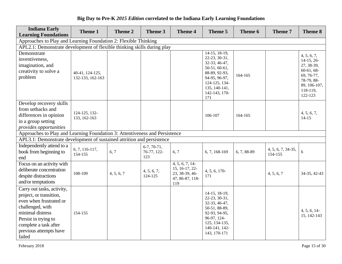| <b>Indiana Early</b><br><b>Learning Foundations</b>                                                                                                                                                           | Theme 1                             | Theme 2    | Theme 3                             | <b>Theme 4</b>                                                               | Theme 5                                                                                                                                                      | Theme 6     | Theme 7                       | Theme 8                                                                                                                      |
|---------------------------------------------------------------------------------------------------------------------------------------------------------------------------------------------------------------|-------------------------------------|------------|-------------------------------------|------------------------------------------------------------------------------|--------------------------------------------------------------------------------------------------------------------------------------------------------------|-------------|-------------------------------|------------------------------------------------------------------------------------------------------------------------------|
| Approaches to Play and Learning Foundation 2: Flexible Thinking                                                                                                                                               |                                     |            |                                     |                                                                              |                                                                                                                                                              |             |                               |                                                                                                                              |
| APL2.1: Demonstrate development of flexible thinking skills during play                                                                                                                                       |                                     |            |                                     |                                                                              |                                                                                                                                                              |             |                               |                                                                                                                              |
| Demonstrate<br>inventiveness,<br>imagination, and<br>creativity to solve a<br>problem                                                                                                                         | 40-41, 124-125,<br>132-133, 162-163 |            |                                     |                                                                              | 14-15, 18-19,<br>22-23, 30-31,<br>32-33, 46-47,<br>50-51, 60-61,<br>88-89, 92-93,<br>94-95, 96-97,<br>124-125, 134-<br>135, 140-141,<br>142-143, 170-<br>171 | 164-165     |                               | 4, 5, 6, 7,<br>$14-15, 26-$<br>27, 38-39,<br>$60-61, 68-$<br>69, 76-77,<br>78-79, 88-<br>89, 106-107,<br>118-119,<br>122-123 |
| Develop recovery skills<br>from setbacks and<br>differences in opinion<br>in a group setting<br>provides opportunities                                                                                        | 124-125, 132-<br>133, 162-163       |            |                                     |                                                                              | 106-107                                                                                                                                                      | 164-165     |                               | 4, 5, 6, 7,<br>$14 - 15$                                                                                                     |
| Approaches to Play and Learning Foundation 3: Attentiveness and Persistence                                                                                                                                   |                                     |            |                                     |                                                                              |                                                                                                                                                              |             |                               |                                                                                                                              |
| APL3.1: Demonstrate development of sustained attrition and persistence                                                                                                                                        |                                     |            |                                     |                                                                              |                                                                                                                                                              |             |                               |                                                                                                                              |
| Independently attend to a<br>book from beginning to<br>end                                                                                                                                                    | $6, 7, 116-117,$<br>154-155         | 6, 7       | $6-7, 70-71,$<br>76-77, 122-<br>123 | 6, 7                                                                         | 6, 7, 168-169                                                                                                                                                | 6, 7, 88-89 | 4, 5, 6, 7, 34-35,<br>154-155 | $6\,$                                                                                                                        |
| Focus on an activity with<br>deliberate concentration<br>despite distractions<br>and/or temptations                                                                                                           | 108-109                             | 4, 5, 6, 7 | 4, 5, 6, 7,<br>124-125              | 4, 5, 6, 7, 14<br>15, 16-17, 22-<br>23, 38-39, 46-<br>47, 86-87, 118-<br>119 | 4, 5, 6, 170-<br>171                                                                                                                                         |             | 4, 5, 6, 7                    | 34-35, 42-43                                                                                                                 |
| Carry out tasks, activity,<br>project, or transition,<br>even when frustrated or<br>challenged, with<br>minimal distress<br>Persist in trying to<br>complete a task after<br>previous attempts have<br>failed | 154-155                             |            |                                     |                                                                              | 14-15, 18-19,<br>22-23, 30-31,<br>32-33, 46-47,<br>50-51, 88-89,<br>92-93, 94-95,<br>96-97, 124-<br>125, 134-135,<br>140-141, 142-<br>143, 170-171           |             |                               | 4, 5, 6, 14<br>15, 142-143                                                                                                   |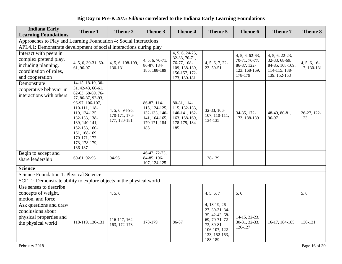| <b>Indiana Early</b><br><b>Learning Foundations</b>                                                                 | Theme 1                                                                                                                                                                                                                                                        | <b>Theme 2</b>                                   | Theme 3                                                                                | <b>Theme 4</b>                                                                                    | Theme 5                                                                                                                        | Theme 6                                                                     | Theme 7                                                                              | Theme 8                    |
|---------------------------------------------------------------------------------------------------------------------|----------------------------------------------------------------------------------------------------------------------------------------------------------------------------------------------------------------------------------------------------------------|--------------------------------------------------|----------------------------------------------------------------------------------------|---------------------------------------------------------------------------------------------------|--------------------------------------------------------------------------------------------------------------------------------|-----------------------------------------------------------------------------|--------------------------------------------------------------------------------------|----------------------------|
| Approaches to Play and Learning Foundation 4: Social Interactions                                                   |                                                                                                                                                                                                                                                                |                                                  |                                                                                        |                                                                                                   |                                                                                                                                |                                                                             |                                                                                      |                            |
| APL4.1: Demonstrate development of social interactions during play                                                  |                                                                                                                                                                                                                                                                |                                                  |                                                                                        |                                                                                                   |                                                                                                                                |                                                                             |                                                                                      |                            |
| Interact with peers in<br>complex pretend play,<br>including planning,<br>coordination of roles,<br>and cooperation | 4, 5, 6, 30-31, 60-<br>61, 96-97                                                                                                                                                                                                                               | 4, 5, 6, 108-109,<br>130-131                     | 4, 5, 6, 70-71,<br>86-87, 184-<br>185, 188-189                                         | 4, 5, 6, 24-25,<br>32-33, 70-71,<br>76-77, 108-<br>109, 138-139,<br>156-157, 172-<br>173, 180-181 | 4, 5, 6, 7, 22-<br>23, 50-51                                                                                                   | 4, 5, 6, 62-63,<br>70-71, 76-77,<br>86-87, 122-<br>123, 168-169,<br>178-179 | 4, 5, 6, 22-23,<br>32-33, 68-69,<br>84-85, 108-109,<br>114-115, 138-<br>139, 152-153 | 4, 5, 6, 16<br>17, 130-131 |
| Demonstrate<br>cooperative behavior in<br>interactions with others                                                  | $14-15$ , $18-19$ , $30-$<br>31, 42-43, 60-61,<br>62-63, 68-69, 76-<br>77, 86-87, 92-93,<br>96-97, 106-107,<br>110-111, 118-<br>119, 124-125,<br>132-133, 138-<br>139, 140-141,<br>152-153, 160-<br>161, 168-169,<br>170-171, 172-<br>173, 178-179,<br>186-187 | 4, 5, 6, 94-95,<br>170-171, 176-<br>177, 180-181 | 86-87, 114-<br>115, 124-125,<br>132-133, 140-<br>141, 164-165,<br>170-171, 184-<br>185 | 80-81, 114-<br>115, 132-133,<br>140-141, 162-<br>163, 168-169,<br>178-179, 184-<br>185            | 32-33, 106-<br>107, 110-111,<br>134-135                                                                                        | 34-35, 172-<br>173, 188-189                                                 | 48-49, 80-81,<br>96-97                                                               | 26-27, 122-<br>123         |
| Begin to accept and<br>share leadership                                                                             | 60-61, 92-93                                                                                                                                                                                                                                                   | 94-95                                            | 46-47, 72-73,<br>84-85, 106-<br>107, 124-125                                           |                                                                                                   | 138-139                                                                                                                        |                                                                             |                                                                                      |                            |
| <b>Science</b>                                                                                                      |                                                                                                                                                                                                                                                                |                                                  |                                                                                        |                                                                                                   |                                                                                                                                |                                                                             |                                                                                      |                            |
| Science Foundation 1: Physical Science                                                                              |                                                                                                                                                                                                                                                                |                                                  |                                                                                        |                                                                                                   |                                                                                                                                |                                                                             |                                                                                      |                            |
| SCI1.1: Demonstrate ability to explore objects in the physical world                                                |                                                                                                                                                                                                                                                                |                                                  |                                                                                        |                                                                                                   |                                                                                                                                |                                                                             |                                                                                      |                            |
| Use senses to describe<br>concepts of weight,<br>motion, and force                                                  |                                                                                                                                                                                                                                                                | 4, 5, 6                                          |                                                                                        |                                                                                                   | 4, 5, 6, 7                                                                                                                     | 5, 6                                                                        |                                                                                      | 5, 6                       |
| Ask questions and draw<br>conclusions about<br>physical properties and<br>the physical world                        | 118-119, 130-131                                                                                                                                                                                                                                               | 116-117, 162-<br>163, 172-173                    | 178-179                                                                                | 86-87                                                                                             | 4, 18-19, 26-<br>27, 30-31, 34-<br>35, 42-43, 68-<br>69, 70-71, 72-<br>73, 80-81,<br>106-107, 122-<br>123, 152-153,<br>188-189 | 14-15, 22-23,<br>30-31, 32-33,<br>126-127                                   | 16-17, 184-185                                                                       | 130-131                    |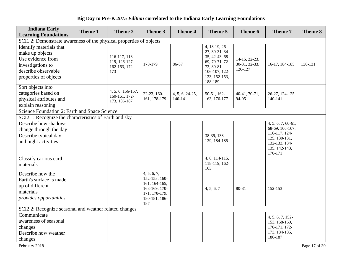#### **Indiana Early Learning Foundations Theme 1 Theme 2 Theme 3 Theme 4 Theme 5 Theme 6 Theme 7 Theme 8** SCI1.2: Demonstrate awareness of the physical properties of objects Identify materials that make up objects Use evidence from investigations to describe observable properties of objects 116-117, 118- 119, 126-127, 162-163, 172- 173 178-179 86-87 4, 18-19, 26- 27, 30-31, 34- 35, 42-43, 68- 69, 70-71, 72- 73, 80-81, 106-107, 122- 123, 152-153, 188-189 14-15, 22-23, 30-31, 32-33, 126-127 16-17, 184-185 130-131 Sort objects into categories based on physical attributes and explain reasoning 4, 5, 6, 156-157, 160-161, 172- 173, 186-187 22-23, 160- 161, 178-179 4, 5, 6, 24-25, 140-141 50-51, 162- 163, 176-177 40-41, 70-71, 94-95 26-27, 124-125, 140-141 Science Foundation 2: Earth and Space Science SCI2.1: Recognize the characteristics of Earth and sky Describe how shadows change through the day Describe typical day and night activities 38-39, 138- 139, 184-185 4, 5, 6, 7, 60-61, 68-69, 106-107, 116-117, 124- 125, 130-131, 132-133, 134- 135, 142-143, 170-171 Classify carious earth materials 4, 6, 114-115, 118-119, 162- 163 Describe how the Earth's surface is made up of different materials *provides opportunities* 4, 5, 6, 7, 152-153, 160- 161, 164-165, 168-169, 170- 171, 178-179, 180-181, 186- 187 4, 5, 6, 7 80-81 152-153 SCI2.2: Recognize seasonal and weather related changes **Communicate** awareness of seasonal changes Describe how weather changes 4, 5, 6, 7, 152- 153, 168-169, 170-171, 172- 173, 184-185, 186-187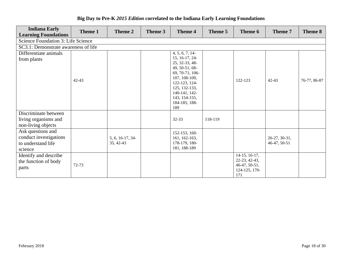| <b>Indiana Early</b><br><b>Learning Foundations</b>                                     | Theme 1   | Theme 2                       | Theme 3 | Theme 4                                                                                                                                                                                              | Theme 5 | Theme 6                                                                 | Theme 7                       | Theme 8      |
|-----------------------------------------------------------------------------------------|-----------|-------------------------------|---------|------------------------------------------------------------------------------------------------------------------------------------------------------------------------------------------------------|---------|-------------------------------------------------------------------------|-------------------------------|--------------|
| Science Foundation 3: Life Science                                                      |           |                               |         |                                                                                                                                                                                                      |         |                                                                         |                               |              |
| SC3.1: Demonstrate awareness of life                                                    |           |                               |         |                                                                                                                                                                                                      |         |                                                                         |                               |              |
| Differentiate animals<br>from plants                                                    | $42 - 43$ |                               |         | 4, 5, 6, 7, 14<br>15, 16-17, 24-<br>25, 32-33, 48-<br>49, 50-51, 68-<br>69, 70-71, 106-<br>107, 108-109,<br>122-123, 124-<br>125, 132-133,<br>140-141, 142-<br>143, 154-155,<br>184-185, 188-<br>189 |         | 122-123                                                                 | 42-43                         | 76-77, 86-87 |
| Discriminate between<br>living organisms and<br>non-living objects<br>Ask questions and |           |                               |         | 32-33<br>152-153, 160-                                                                                                                                                                               | 118-119 |                                                                         |                               |              |
| conduct investigations<br>to understand life<br>science                                 |           | 5, 6, 16-17, 34-<br>35, 42-43 |         | 161, 162-163,<br>178-179, 180-<br>181, 188-189                                                                                                                                                       |         |                                                                         | 26-27, 30-31,<br>46-47, 50-51 |              |
| Identify and describe<br>the function of body<br>parts                                  | 72-73     |                               |         |                                                                                                                                                                                                      |         | 14-15, 16-17,<br>22-23, 42-43,<br>46-47, 50-51,<br>124-125, 170-<br>171 |                               |              |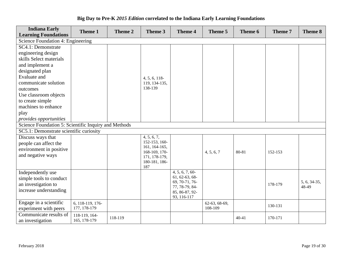| <b>Indiana Early</b><br><b>Learning Foundations</b>  | Theme 1          | Theme 2 | Theme 3                        | <b>Theme 4</b>                   | Theme 5       | Theme 6   | Theme 7 | Theme 8      |
|------------------------------------------------------|------------------|---------|--------------------------------|----------------------------------|---------------|-----------|---------|--------------|
| Science Foundation 4: Engineering                    |                  |         |                                |                                  |               |           |         |              |
| SC4.1: Demonstrate                                   |                  |         |                                |                                  |               |           |         |              |
| engineering design                                   |                  |         |                                |                                  |               |           |         |              |
| skills Select materials                              |                  |         |                                |                                  |               |           |         |              |
| and implement a                                      |                  |         |                                |                                  |               |           |         |              |
| designated plan                                      |                  |         |                                |                                  |               |           |         |              |
| <b>Evaluate and</b>                                  |                  |         | 4, 5, 6, 118                   |                                  |               |           |         |              |
| communicate solution                                 |                  |         | 119, 134-135,                  |                                  |               |           |         |              |
| outcomes                                             |                  |         | 138-139                        |                                  |               |           |         |              |
| Use classroom objects                                |                  |         |                                |                                  |               |           |         |              |
| to create simple                                     |                  |         |                                |                                  |               |           |         |              |
| machines to enhance                                  |                  |         |                                |                                  |               |           |         |              |
| play                                                 |                  |         |                                |                                  |               |           |         |              |
| provides opportunities                               |                  |         |                                |                                  |               |           |         |              |
| Science Foundation 5: Scientific Inquiry and Methods |                  |         |                                |                                  |               |           |         |              |
| SC5.1: Demonstrate scientific curiosity              |                  |         |                                |                                  |               |           |         |              |
| Discuss ways that                                    |                  |         | 4, 5, 6, 7,                    |                                  |               |           |         |              |
| people can affect the                                |                  |         | 152-153, 160-                  |                                  |               |           |         |              |
| environment in positive                              |                  |         | 161, 164-165,<br>168-169, 170- |                                  | 4, 5, 6, 7    | 80-81     | 152-153 |              |
| and negative ways                                    |                  |         | 171, 178-179,                  |                                  |               |           |         |              |
|                                                      |                  |         | 180-181, 186-                  |                                  |               |           |         |              |
|                                                      |                  |         | 187                            |                                  |               |           |         |              |
| Independently use                                    |                  |         |                                | $4, 5, 6, 7, 60$ -               |               |           |         |              |
| simple tools to conduct                              |                  |         |                                | 61, 62-63, 68-<br>69, 70-71, 76- |               |           |         | 5, 6, 34-35, |
| an investigation to                                  |                  |         |                                | 77, 78-79, 84-                   |               |           | 178-179 | 48-49        |
| increase understanding                               |                  |         |                                | 85, 86-87, 92-                   |               |           |         |              |
|                                                      |                  |         |                                | 93, 116-117                      |               |           |         |              |
| Engage in a scientific                               | 6, 118-119, 176- |         |                                |                                  | 62-63, 68-69, |           | 130-131 |              |
| experiment with peers                                | 177, 178-179     |         |                                |                                  | 108-109       |           |         |              |
| Communicate results of                               | 118-119, 164-    | 118-119 |                                |                                  |               | $40 - 41$ | 170-171 |              |
| an investigation                                     | 165, 178-179     |         |                                |                                  |               |           |         |              |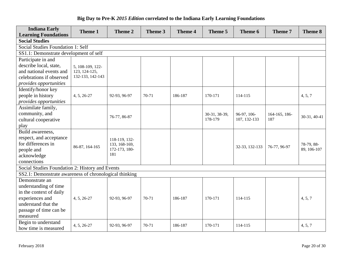| <b>Indiana Early</b><br><b>Learning Foundations</b>    | Theme 1          | Theme 2              | Theme 3 | <b>Theme 4</b> | Theme 5       | Theme 6        | Theme 7       | Theme 8      |
|--------------------------------------------------------|------------------|----------------------|---------|----------------|---------------|----------------|---------------|--------------|
| <b>Social Studies</b>                                  |                  |                      |         |                |               |                |               |              |
| Social Studies Foundation 1: Self                      |                  |                      |         |                |               |                |               |              |
| SS1.1: Demonstrate development of self                 |                  |                      |         |                |               |                |               |              |
| Participate in and                                     |                  |                      |         |                |               |                |               |              |
| describe local, state,                                 | 5, 108-109, 122- |                      |         |                |               |                |               |              |
| and national events and                                | 123, 124-125,    |                      |         |                |               |                |               |              |
| celebrations if observed                               | 132-133, 142-143 |                      |         |                |               |                |               |              |
| provides opportunities                                 |                  |                      |         |                |               |                |               |              |
| Identify/honor key                                     |                  |                      |         |                |               |                |               |              |
| people in history                                      | 4, 5, 26-27      | 92-93, 96-97         | $70-71$ | 186-187        | 170-171       | 114-115        |               | 4, 5, 7      |
| provides opportunities                                 |                  |                      |         |                |               |                |               |              |
| Assimilate family,                                     |                  |                      |         |                |               |                |               |              |
| community, and                                         |                  | 76-77, 86-87         |         |                | 30-31, 38-39, | 96-97, 106-    | 164-165, 186- | 30-31, 40-41 |
| cultural cooperative                                   |                  |                      |         |                | 178-179       | 107, 132-133   | 187           |              |
| play                                                   |                  |                      |         |                |               |                |               |              |
| Build awareness,                                       |                  |                      |         |                |               |                |               |              |
| respect, and acceptance                                |                  | 118-119, 132-        |         |                |               |                |               |              |
| for differences in                                     | 86-87, 164-165   | 133, 168-169,        |         |                |               | 32-33, 132-133 | 76-77, 96-97  | 78-79, 88-   |
| people and                                             |                  | 172-173, 180-<br>181 |         |                |               |                |               | 89, 106-107  |
| acknowledge                                            |                  |                      |         |                |               |                |               |              |
| connections                                            |                  |                      |         |                |               |                |               |              |
| Social Studies Foundation 2: History and Events        |                  |                      |         |                |               |                |               |              |
| SS2.1: Demonstrate awareness of chronological thinking |                  |                      |         |                |               |                |               |              |
| Demonstrate an                                         |                  |                      |         |                |               |                |               |              |
| understanding of time                                  |                  |                      |         |                |               |                |               |              |
| in the context of daily                                |                  |                      |         |                |               |                |               |              |
| experiences and                                        | 4, 5, 26-27      | 92-93, 96-97         | 70-71   | 186-187        | 170-171       | 114-115        |               | 4, 5, 7      |
| understand that the                                    |                  |                      |         |                |               |                |               |              |
| passage of time can be                                 |                  |                      |         |                |               |                |               |              |
| measured                                               |                  |                      |         |                |               |                |               |              |
| Begin to understand                                    | 4, 5, 26-27      | 92-93, 96-97         | 70-71   | 186-187        | 170-171       | 114-115        |               | 4, 5, 7      |
| how time is measured                                   |                  |                      |         |                |               |                |               |              |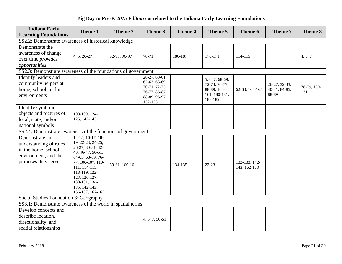| <b>Indiana Early</b><br><b>Learning Foundations</b>           | Theme 1                                   | Theme 2        | Theme 3                        | <b>Theme 4</b> | Theme 5                  | Theme 6        | Theme 7       | Theme 8     |
|---------------------------------------------------------------|-------------------------------------------|----------------|--------------------------------|----------------|--------------------------|----------------|---------------|-------------|
| SS2.2: Demonstrate awareness of historical knowledge          |                                           |                |                                |                |                          |                |               |             |
| Demonstrate the                                               |                                           |                |                                |                |                          |                |               |             |
| awareness of change                                           | 4, 5, 26-27                               | 92-93, 96-97   | 70-71                          | 186-187        | 170-171                  | 114-115        |               | 4, 5, 7     |
| over time provides                                            |                                           |                |                                |                |                          |                |               |             |
| opportunities                                                 |                                           |                |                                |                |                          |                |               |             |
| SS2.3: Demonstrate awareness of the foundations of government |                                           |                |                                |                |                          |                |               |             |
| Identify leaders and                                          |                                           |                | 26-27, 60-61,                  |                | 5, 6, 7, 68-69,          |                |               |             |
| community helpers at                                          |                                           |                | 62-63, 68-69,<br>70-71, 72-73, |                | 72-73, 76-77,            |                | 26-27, 32-33, | 78-79, 130- |
| home, school, and in                                          |                                           |                | 76-77, 86-87,                  |                | 88-89, 160-              | 62-63, 164-165 | 40-41, 84-85, | 131         |
| environments                                                  |                                           |                | 88-89, 96-97,                  |                | 161, 180-181,<br>188-189 |                | 88-89         |             |
|                                                               |                                           |                | 132-133                        |                |                          |                |               |             |
| Identify symbolic                                             |                                           |                |                                |                |                          |                |               |             |
| objects and pictures of                                       | 108-109, 124-                             |                |                                |                |                          |                |               |             |
| local, state, and/or                                          | 125, 142-143                              |                |                                |                |                          |                |               |             |
| national symbols                                              |                                           |                |                                |                |                          |                |               |             |
| SS2.4: Demonstrate awareness of the functions of government   |                                           |                |                                |                |                          |                |               |             |
| Demonstrate an                                                | $14-15$ , 16-17, 18-<br>19, 22-23, 24-25, |                |                                |                |                          |                |               |             |
| understanding of rules                                        | 26-27, 30-31, 42-                         |                |                                |                |                          |                |               |             |
| in the home, school                                           | 43, 46-47, 50-51,                         |                |                                |                |                          |                |               |             |
| environment, and the                                          | 64-65, 68-69, 76-                         |                |                                |                |                          |                |               |             |
| purposes they serve                                           | 77, 106-107, 110-                         | 60-61, 160-161 |                                | 134-135        | $22 - 23$                | 132-133, 142-  |               |             |
|                                                               | 111, 114-115,<br>118-119, 122-            |                |                                |                |                          | 143, 162-163   |               |             |
|                                                               | 123, 126-127,                             |                |                                |                |                          |                |               |             |
|                                                               | 130-131, 134-                             |                |                                |                |                          |                |               |             |
|                                                               | 135, 142-143,                             |                |                                |                |                          |                |               |             |
|                                                               | 156-157, 162-163                          |                |                                |                |                          |                |               |             |
| Social Studies Foundation 3: Geography                        |                                           |                |                                |                |                          |                |               |             |
| SS3.1: Demonstrate awareness of the world in spatial terms    |                                           |                |                                |                |                          |                |               |             |
| Develop concepts and                                          |                                           |                |                                |                |                          |                |               |             |
| describe location,                                            |                                           |                | 4, 5, 7, 50-51                 |                |                          |                |               |             |
| directionality, and                                           |                                           |                |                                |                |                          |                |               |             |
| spatial relationships                                         |                                           |                |                                |                |                          |                |               |             |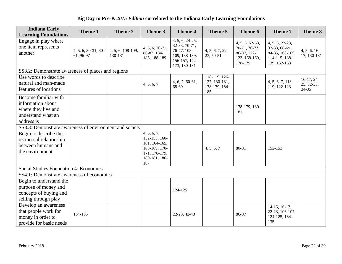| <b>Indiana Early</b><br><b>Learning Foundations</b>                                                  | Theme 1                          | Theme 2                      | Theme 3                                                                                                 | <b>Theme 4</b>                                                                                    | Theme 5                                                | Theme 6                                                                       | Theme 7                                                                              | Theme 8                                 |
|------------------------------------------------------------------------------------------------------|----------------------------------|------------------------------|---------------------------------------------------------------------------------------------------------|---------------------------------------------------------------------------------------------------|--------------------------------------------------------|-------------------------------------------------------------------------------|--------------------------------------------------------------------------------------|-----------------------------------------|
| Engage in play where<br>one item represents<br>another                                               | 4, 5, 6, 30-31, 60-<br>61, 96-97 | 4, 5, 6, 108-109,<br>130-131 | $4, 5, 6, 70-71,$<br>86-87, 184-<br>185, 188-189                                                        | 4, 5, 6, 24-25,<br>32-33, 70-71,<br>76-77, 108-<br>109, 138-139,<br>156-157, 172-<br>173, 180-181 | 4, 5, 6, 7, 22<br>23, 50-51                            | $4, 5, 6, 62-63,$<br>70-71, 76-77,<br>86-87, 122-<br>123, 168-169,<br>178-179 | 4, 5, 6, 22-23,<br>32-33, 68-69,<br>84-85, 108-109,<br>114-115, 138-<br>139, 152-153 | 4, 5, 6, 16<br>17, 130-131              |
| SS3.2: Demonstrate awareness of places and regions                                                   |                                  |                              |                                                                                                         |                                                                                                   |                                                        |                                                                               |                                                                                      |                                         |
| Use words to describe<br>natural and man-made<br>features of locations                               |                                  |                              | 4, 5, 6, 7                                                                                              | $4, 6, 7, 60 - 61,$<br>68-69                                                                      | 118-119, 126-<br>127, 130-131,<br>178-179, 184-<br>185 |                                                                               | 4, 5, 6, 7, 118-<br>119, 122-123                                                     | $16-17, 24-$<br>25, 32-33,<br>$34 - 35$ |
| Become familiar with<br>information about<br>where they live and<br>understand what an<br>address is |                                  |                              |                                                                                                         |                                                                                                   |                                                        | 178-179, 180-<br>181                                                          |                                                                                      |                                         |
| SS3.3: Demonstrate awareness of environment and society                                              |                                  |                              |                                                                                                         |                                                                                                   |                                                        |                                                                               |                                                                                      |                                         |
| Begin to describe the<br>reciprocal relationship<br>between humans and<br>the environment            |                                  |                              | 4, 5, 6, 7,<br>152-153, 160-<br>161, 164-165,<br>168-169, 170-<br>171, 178-179,<br>180-181, 186-<br>187 |                                                                                                   | 4, 5, 6, 7                                             | 80-81                                                                         | 152-153                                                                              |                                         |
| Social Studies Foundation 4: Economics                                                               |                                  |                              |                                                                                                         |                                                                                                   |                                                        |                                                                               |                                                                                      |                                         |
| SS4.1: Demonstrate awareness of economics                                                            |                                  |                              |                                                                                                         |                                                                                                   |                                                        |                                                                               |                                                                                      |                                         |
| Begin to understand the<br>purpose of money and<br>concepts of buying and<br>selling through play    |                                  |                              |                                                                                                         | 124-125                                                                                           |                                                        |                                                                               |                                                                                      |                                         |
| Develop an awareness<br>that people work for<br>money in order to<br>provide for basic needs         | 164-165                          |                              |                                                                                                         | 22-23, 42-43                                                                                      |                                                        | 86-87                                                                         | $14-15$ , $16-17$ ,<br>22-23, 106-107,<br>124-125, 134-<br>135                       |                                         |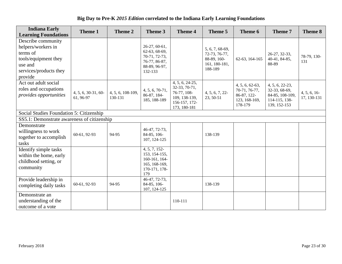| Big Day to Pre-K 2015 Edition correlated to the Indiana Early Learning Foundations |  |  |
|------------------------------------------------------------------------------------|--|--|
|------------------------------------------------------------------------------------|--|--|

| <b>Indiana Early</b><br><b>Learning Foundations</b>                                                                          | Theme 1                            | Theme 2                      | Theme 3                                                                                      | <b>Theme 4</b>                                                                                    | Theme 5                                                                     | Theme 6                                                                     | <b>Theme 7</b>                                                                         | Theme 8                    |
|------------------------------------------------------------------------------------------------------------------------------|------------------------------------|------------------------------|----------------------------------------------------------------------------------------------|---------------------------------------------------------------------------------------------------|-----------------------------------------------------------------------------|-----------------------------------------------------------------------------|----------------------------------------------------------------------------------------|----------------------------|
| Describe community<br>helpers/workers in<br>terms of<br>tools/equipment they<br>use and<br>services/products they<br>provide |                                    |                              | 26-27, 60-61,<br>62-63, 68-69,<br>70-71, 72-73,<br>76-77, 86-87,<br>88-89, 96-97,<br>132-133 |                                                                                                   | 5, 6, 7, 68-69,<br>72-73, 76-77,<br>88-89, 160-<br>161, 180-181,<br>188-189 | 62-63, 164-165                                                              | 26-27, 32-33,<br>40-41, 84-85,<br>88-89                                                | 78-79, 130-<br>131         |
| Act out adult social<br>roles and occupations<br>provides opportunities                                                      | $4, 5, 6, 30-31, 60-$<br>61, 96-97 | 4, 5, 6, 108-109,<br>130-131 | $4, 5, 6, 70-71,$<br>86-87, 184-<br>185, 188-189                                             | 4, 5, 6, 24-25,<br>32-33, 70-71,<br>76-77, 108-<br>109, 138-139,<br>156-157, 172-<br>173, 180-181 | 4, 5, 6, 7, 22<br>23, 50-51                                                 | 4, 5, 6, 62-63,<br>70-71, 76-77,<br>86-87, 122-<br>123, 168-169,<br>178-179 | $4, 5, 6, 22-23,$<br>32-33, 68-69,<br>84-85, 108-109,<br>114-115, 138-<br>139, 152-153 | 4, 5, 6, 16<br>17, 130-131 |
| Social Studies Foundation 5: Citizenship<br>SS5.1: Demonstrate awareness of citizenship                                      |                                    |                              |                                                                                              |                                                                                                   |                                                                             |                                                                             |                                                                                        |                            |
| Demonstrate<br>willingness to work<br>together to accomplish<br>tasks                                                        | 60-61, 92-93                       | 94-95                        | 46-47, 72-73,<br>84-85, 106-<br>107, 124-125                                                 |                                                                                                   | 138-139                                                                     |                                                                             |                                                                                        |                            |
| Identify simple tasks<br>within the home, early<br>childhood setting, or<br>community                                        |                                    |                              | 4, 5, 7, 152<br>153, 154-155,<br>160-161, 164-<br>165, 168-169,<br>170-171, 178-<br>179      |                                                                                                   |                                                                             |                                                                             |                                                                                        |                            |
| Provide leadership in<br>completing daily tasks                                                                              | 60-61, 92-93                       | 94-95                        | 46-47, 72-73,<br>84-85, 106-<br>107, 124-125                                                 |                                                                                                   | 138-139                                                                     |                                                                             |                                                                                        |                            |
| Demonstrate an<br>understanding of the<br>outcome of a vote                                                                  |                                    |                              |                                                                                              | 110-111                                                                                           |                                                                             |                                                                             |                                                                                        |                            |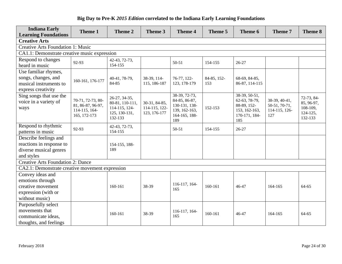| <b>Indiana Early</b><br><b>Learning Foundations</b>                                                | Theme 1                                                                 | Theme 2                                                                       | Theme 3                                        | <b>Theme 4</b>                                                                           | Theme 5            | Theme 6                                                                                  | Theme 7                                                | <b>Theme 8</b>                                              |
|----------------------------------------------------------------------------------------------------|-------------------------------------------------------------------------|-------------------------------------------------------------------------------|------------------------------------------------|------------------------------------------------------------------------------------------|--------------------|------------------------------------------------------------------------------------------|--------------------------------------------------------|-------------------------------------------------------------|
| <b>Creative Arts</b>                                                                               |                                                                         |                                                                               |                                                |                                                                                          |                    |                                                                                          |                                                        |                                                             |
| <b>Creative Arts Foundation 1: Music</b>                                                           |                                                                         |                                                                               |                                                |                                                                                          |                    |                                                                                          |                                                        |                                                             |
| CA1.1: Demonstrate creative music expression                                                       |                                                                         |                                                                               |                                                |                                                                                          |                    |                                                                                          |                                                        |                                                             |
| Respond to changes<br>heard in music                                                               | 92-93                                                                   | 42-43, 72-73,<br>154-155                                                      |                                                | $50 - 51$                                                                                | 154-155            | 26-27                                                                                    |                                                        |                                                             |
| Use familiar rhymes,<br>songs, changes, and<br>musical instruments to<br>express creativity        | 160-161, 176-177                                                        | 40-41, 78-79,<br>84-85                                                        | 38-39, 114-<br>115, 186-187                    | 76-77, 122-<br>123, 178-179                                                              | 84-85, 152-<br>153 | 68-69, 84-85,<br>86-87, 114-115                                                          |                                                        |                                                             |
| Sing songs that use the<br>voice in a variety of<br>ways                                           | 70-71, 72-73, 80-<br>81, 86-87, 96-97,<br>114-115, 164-<br>165, 172-173 | 26-27, 34-35,<br>80-81, 110-111,<br>114-115, 124-<br>125, 130-131,<br>132-133 | 30-31, 84-85,<br>114-115, 122-<br>123, 176-177 | 38-39, 72-73,<br>84-85, 86-87,<br>130-131, 138-<br>139, 162-163,<br>164-165, 188-<br>189 | 152-153            | $38-39, 50-51,$<br>62-63, 78-79,<br>88-89, 152-<br>153, 162-163,<br>170-171, 184-<br>185 | 38-39, 40-41,<br>50-51, 70-71,<br>114-115, 126-<br>127 | 72-73, 84-<br>85, 96-97,<br>108-109,<br>124-125,<br>132-133 |
| Respond to rhythmic<br>patterns in music                                                           | 92-93                                                                   | 42-43, 72-73,<br>154-155                                                      |                                                | $50 - 51$                                                                                | 154-155            | 26-27                                                                                    |                                                        |                                                             |
| Describe feelings and<br>reactions in response to                                                  |                                                                         | 154-155, 188-                                                                 |                                                |                                                                                          |                    |                                                                                          |                                                        |                                                             |
| diverse musical genres<br>and styles                                                               |                                                                         | 189                                                                           |                                                |                                                                                          |                    |                                                                                          |                                                        |                                                             |
| <b>Creative Arts Foundation 2: Dance</b>                                                           |                                                                         |                                                                               |                                                |                                                                                          |                    |                                                                                          |                                                        |                                                             |
| CA2.1: Demonstrate creative movement expression                                                    |                                                                         |                                                                               |                                                |                                                                                          |                    |                                                                                          |                                                        |                                                             |
| Convey ideas and<br>emotions through<br>creative movement<br>expression (with or<br>without music) |                                                                         | 160-161                                                                       | 38-39                                          | 116-117, 164-<br>165                                                                     | 160-161            | 46-47                                                                                    | 164-165                                                | 64-65                                                       |
| Purposefully select<br>movements that<br>communicate ideas,<br>thoughts, and feelings              |                                                                         | 160-161                                                                       | 38-39                                          | 116-117, 164-<br>165                                                                     | 160-161            | 46-47                                                                                    | 164-165                                                | 64-65                                                       |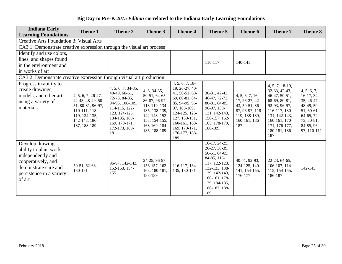| <b>Indiana Early</b><br><b>Learning Foundations</b>                                                                                               | Theme 1                                                                                                                         | Theme 2                                                                                                                                                             | Theme 3                                                                                                                                               | <b>Theme 4</b>                                                                                                                                                                                     | Theme 5                                                                                                                                                                     | Theme 6                                                                                                        | Theme 7                                                                                                                                                                         | Theme 8                                                                                                                        |
|---------------------------------------------------------------------------------------------------------------------------------------------------|---------------------------------------------------------------------------------------------------------------------------------|---------------------------------------------------------------------------------------------------------------------------------------------------------------------|-------------------------------------------------------------------------------------------------------------------------------------------------------|----------------------------------------------------------------------------------------------------------------------------------------------------------------------------------------------------|-----------------------------------------------------------------------------------------------------------------------------------------------------------------------------|----------------------------------------------------------------------------------------------------------------|---------------------------------------------------------------------------------------------------------------------------------------------------------------------------------|--------------------------------------------------------------------------------------------------------------------------------|
| <b>Creative Arts Foundation 3: Visual Arts</b>                                                                                                    |                                                                                                                                 |                                                                                                                                                                     |                                                                                                                                                       |                                                                                                                                                                                                    |                                                                                                                                                                             |                                                                                                                |                                                                                                                                                                                 |                                                                                                                                |
| CA3.1: Demonstrate creative expression through the visual art process                                                                             |                                                                                                                                 |                                                                                                                                                                     |                                                                                                                                                       |                                                                                                                                                                                                    |                                                                                                                                                                             |                                                                                                                |                                                                                                                                                                                 |                                                                                                                                |
| Identify and use colors,                                                                                                                          |                                                                                                                                 |                                                                                                                                                                     |                                                                                                                                                       |                                                                                                                                                                                                    |                                                                                                                                                                             |                                                                                                                |                                                                                                                                                                                 |                                                                                                                                |
| lines, and shapes found                                                                                                                           |                                                                                                                                 |                                                                                                                                                                     |                                                                                                                                                       |                                                                                                                                                                                                    | 116-117                                                                                                                                                                     | 140-141                                                                                                        |                                                                                                                                                                                 |                                                                                                                                |
| in the environment and                                                                                                                            |                                                                                                                                 |                                                                                                                                                                     |                                                                                                                                                       |                                                                                                                                                                                                    |                                                                                                                                                                             |                                                                                                                |                                                                                                                                                                                 |                                                                                                                                |
| in works of art                                                                                                                                   |                                                                                                                                 |                                                                                                                                                                     |                                                                                                                                                       |                                                                                                                                                                                                    |                                                                                                                                                                             |                                                                                                                |                                                                                                                                                                                 |                                                                                                                                |
| CA3.2: Demonstrate creative expression through visual art production                                                                              |                                                                                                                                 |                                                                                                                                                                     |                                                                                                                                                       |                                                                                                                                                                                                    |                                                                                                                                                                             |                                                                                                                |                                                                                                                                                                                 |                                                                                                                                |
| Progress in ability to<br>create drawings,<br>models, and other art<br>using a variety of<br>materials                                            | 4, 5, 6, 7, 26-27,<br>42-43, 48-49, 50-<br>51, 80-81, 96-97,<br>110-111, 118-<br>119, 134-135,<br>142-143, 186-<br>187, 188-189 | 4, 5, 6, 7, 34-35,<br>48-49, 60-61,<br>72-73, 84-85,<br>94-95, 108-109,<br>114-115, 122-<br>123, 124-125,<br>134-135, 168-<br>169, 170-171,<br>172-173, 180-<br>181 | $4, 6, 34-35,$<br>50-51, 64-65,<br>86-87, 96-97,<br>118-119, 134-<br>135, 138-139,<br>142-143, 152-<br>153, 154-155,<br>168-169, 184-<br>185, 188-189 | 4, 5, 6, 7, 18<br>19, 26-27, 40-<br>41, 50-51, 68-<br>69, 80-81, 84-<br>85, 94-95, 96-<br>97, 108-109,<br>124-125, 126-<br>127, 130-131,<br>160-161, 168-<br>169, 170-171,<br>176-177, 188-<br>189 | 30-31, 42-43,<br>46-47, 72-73,<br>80-81, 84-85,<br>96-97, 130-<br>131, 142-143,<br>156-157, 162-<br>163, 178-179,<br>188-189                                                | 4, 5, 6, 7, 16<br>17, 26-27, 42-<br>43, 50-51, 86-<br>87, 96-97, 118-<br>119, 138-139,<br>160-161, 186-<br>187 | 4, 5, 7, 18-19,<br>32-33, 42-43,<br>46-47, 50-51,<br>68-69, 80-81,<br>92-93, 96-97,<br>116-117, 130-<br>131, 142-143,<br>160-161, 170-<br>171, 176-177,<br>180-181, 186-<br>187 | 4, 5, 6, 7,<br>$16-17, 34-$<br>35, 46-47,<br>48-49, 50-<br>51, 60-61,<br>64-65, 72-<br>73, 80-81,<br>84-85, 96-<br>97, 110-111 |
| Develop drawing<br>ability to plan, work<br>independently and<br>cooperatively, and<br>demonstrate care and<br>persistence in a variety<br>of art | 50-51, 62-63,<br>180-181                                                                                                        | 96-97, 142-143,<br>152-153, 154-<br>155                                                                                                                             | 24-25, 96-97,<br>156-157, 162-<br>163, 180-181,<br>188-189                                                                                            | 116-117, 134-<br>135, 180-181                                                                                                                                                                      | 16-17, 24-25,<br>26-27, 38-39,<br>50-51, 64-65,<br>84-85, 116-<br>117, 122-123,<br>132-133, 138-<br>139, 142-143,<br>160-161, 178-<br>179, 184-185,<br>186-187, 188-<br>189 | 40-41, 92-93,<br>124-125, 140-<br>141, 154-155,<br>176-177                                                     | 22-23, 64-65,<br>106-107, 114-<br>115, 154-155,<br>186-187                                                                                                                      | 142-143                                                                                                                        |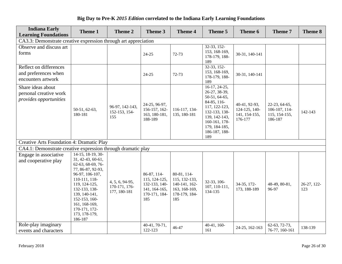| <b>Indiana Early</b><br><b>Learning Foundations</b>                   | Theme 1                                                                                                                                                                                                                                                          | Theme 2                                          | Theme 3                                                                                | <b>Theme 4</b>                                                                         | Theme 5                                                                                                                                                                       | Theme 6                                                    | Theme 7                                                    | Theme 8            |  |  |
|-----------------------------------------------------------------------|------------------------------------------------------------------------------------------------------------------------------------------------------------------------------------------------------------------------------------------------------------------|--------------------------------------------------|----------------------------------------------------------------------------------------|----------------------------------------------------------------------------------------|-------------------------------------------------------------------------------------------------------------------------------------------------------------------------------|------------------------------------------------------------|------------------------------------------------------------|--------------------|--|--|
| CA3.3: Demonstrate creative expression through art appreciation       |                                                                                                                                                                                                                                                                  |                                                  |                                                                                        |                                                                                        |                                                                                                                                                                               |                                                            |                                                            |                    |  |  |
| Observe and discuss art<br>forms                                      |                                                                                                                                                                                                                                                                  |                                                  | $24 - 25$                                                                              | $72 - 73$                                                                              | 32-33, 152-<br>153, 168-169,<br>178-179, 188-<br>189                                                                                                                          | 30-31, 140-141                                             |                                                            |                    |  |  |
| Reflect on differences<br>and preferences when<br>encounters artwork  |                                                                                                                                                                                                                                                                  |                                                  | $24 - 25$                                                                              | 72-73                                                                                  | $32-33, 152-$<br>153, 168-169,<br>178-179, 188-<br>189                                                                                                                        | 30-31, 140-141                                             |                                                            |                    |  |  |
| Share ideas about<br>personal creative work<br>provides opportunities | 50-51, 62-63,<br>180-181                                                                                                                                                                                                                                         | 96-97, 142-143,<br>152-153, 154-<br>155          | 24-25, 96-97,<br>156-157, 162-<br>163, 180-181,<br>188-189                             | 116-117, 134-<br>135, 180-181                                                          | $16-17, 24-25,$<br>26-27, 38-39,<br>50-51, 64-65,<br>84-85, 116-<br>117, 122-123,<br>132-133, 138-<br>139, 142-143,<br>160-161, 178-<br>179, 184-185,<br>186-187, 188-<br>189 | 40-41, 92-93,<br>124-125, 140-<br>141, 154-155,<br>176-177 | 22-23, 64-65,<br>106-107, 114-<br>115, 154-155,<br>186-187 | 142-143            |  |  |
| Creative Arts Foundation 4: Dramatic Play                             |                                                                                                                                                                                                                                                                  |                                                  |                                                                                        |                                                                                        |                                                                                                                                                                               |                                                            |                                                            |                    |  |  |
| CA4.1: Demonstrate creative expression through dramatic play          |                                                                                                                                                                                                                                                                  |                                                  |                                                                                        |                                                                                        |                                                                                                                                                                               |                                                            |                                                            |                    |  |  |
| Engage in associative<br>and cooperative play                         | $14-15$ , $18-19$ , $30-$<br>$31, 42-43, 60-61,$<br>62-63, 68-69, 76-<br>77, 86-87, 92-93,<br>96-97, 106-107,<br>110-111, 118-<br>119, 124-125,<br>132-133, 138-<br>139, 140-141,<br>152-153, 160-<br>161, 168-169,<br>170-171, 172-<br>173, 178-179,<br>186-187 | 4, 5, 6, 94-95,<br>170-171, 176-<br>177, 180-181 | 86-87, 114-<br>115, 124-125,<br>132-133, 140-<br>141, 164-165,<br>170-171, 184-<br>185 | 80-81, 114-<br>115, 132-133,<br>140-141, 162-<br>163, 168-169,<br>178-179, 184-<br>185 | 32-33, 106-<br>107, 110-111,<br>134-135                                                                                                                                       | 34-35, 172-<br>173, 188-189                                | 48-49, 80-81,<br>96-97                                     | 26-27, 122-<br>123 |  |  |
| Role-play imaginary<br>events and characters                          |                                                                                                                                                                                                                                                                  |                                                  | 40-41, 70-71,<br>122-123                                                               | 46-47                                                                                  | $40-41, 160-$<br>161                                                                                                                                                          | 24-25, 162-163                                             | 62-63, 72-73,<br>76-77, 160-161                            | 138-139            |  |  |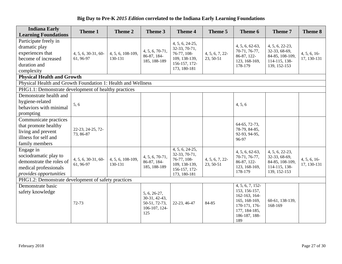| <b>Indiana Early</b><br><b>Learning Foundations</b>                                                               | Theme 1                          | Theme 2                      | Theme 3                                                                  | <b>Theme 4</b>                                                                                    | Theme 5                     | Theme 6                                                                                                                       | Theme 7                                                                              | Theme 8                    |
|-------------------------------------------------------------------------------------------------------------------|----------------------------------|------------------------------|--------------------------------------------------------------------------|---------------------------------------------------------------------------------------------------|-----------------------------|-------------------------------------------------------------------------------------------------------------------------------|--------------------------------------------------------------------------------------|----------------------------|
| Participate freely in<br>dramatic play<br>experiences that<br>become of increased<br>duration and<br>complexity   | 4, 5, 6, 30-31, 60-<br>61, 96-97 | 4, 5, 6, 108-109,<br>130-131 | $4, 5, 6, 70-71,$<br>86-87, 184-<br>185, 188-189                         | 4, 5, 6, 24-25,<br>32-33, 70-71,<br>76-77, 108-<br>109, 138-139,<br>156-157, 172-<br>173, 180-181 | 4, 5, 6, 7, 22<br>23, 50-51 | 4, 5, 6, 62-63,<br>70-71, 76-77,<br>86-87, 122-<br>123, 168-169,<br>178-179                                                   | 4, 5, 6, 22-23,<br>32-33, 68-69,<br>84-85, 108-109,<br>114-115, 138-<br>139, 152-153 | 4, 5, 6, 16<br>17, 130-131 |
| <b>Physical Health and Growth</b>                                                                                 |                                  |                              |                                                                          |                                                                                                   |                             |                                                                                                                               |                                                                                      |                            |
| Physical Health and Growth Foundation 1: Health and Wellness                                                      |                                  |                              |                                                                          |                                                                                                   |                             |                                                                                                                               |                                                                                      |                            |
| PHG1.1: Demonstrate development of healthy practices                                                              |                                  |                              |                                                                          |                                                                                                   |                             |                                                                                                                               |                                                                                      |                            |
| Demonstrate health and<br>hygiene-related<br>behaviors with minimal<br>prompting                                  | 5, 6                             |                              |                                                                          |                                                                                                   |                             | 4, 5, 6                                                                                                                       |                                                                                      |                            |
| Communicate practices<br>that promote healthy<br>living and prevent<br>illness for self and<br>family members     | 22-23, 24-25, 72-<br>73, 86-87   |                              |                                                                          |                                                                                                   |                             | 64-65, 72-73,<br>78-79, 84-85,<br>92-93, 94-95,<br>96-97                                                                      |                                                                                      |                            |
| Engage in<br>sociodramatic play to<br>demonstrate the roles of<br>medical professionals<br>provides opportunities | 4, 5, 6, 30-31, 60-<br>61, 96-97 | 4, 5, 6, 108-109,<br>130-131 | $4, 5, 6, 70-71,$<br>86-87, 184-<br>185, 188-189                         | 4, 5, 6, 24-25,<br>32-33, 70-71,<br>76-77, 108-<br>109, 138-139,<br>156-157, 172-<br>173, 180-181 | 4, 5, 6, 7, 22<br>23, 50-51 | 4, 5, 6, 62-63,<br>70-71, 76-77,<br>86-87, 122-<br>123, 168-169,<br>178-179                                                   | 4, 5, 6, 22-23,<br>32-33, 68-69,<br>84-85, 108-109,<br>114-115, 138-<br>139, 152-153 | 4, 5, 6, 16<br>17, 130-131 |
| PHG1.2: Demonstrate development of safety practices                                                               |                                  |                              |                                                                          |                                                                                                   |                             |                                                                                                                               |                                                                                      |                            |
| Demonstrate basic<br>safety knowledge                                                                             | 72-73                            |                              | $5, 6, 26-27,$<br>30-31, 42-43,<br>50-51, 72-73,<br>106-107, 124-<br>125 | 22-23, 46-47                                                                                      | 84-85                       | 4, 5, 6, 7, 152-<br>153, 156-157,<br>162-163, 164-<br>165, 168-169,<br>170-171, 176-<br>177, 184-185,<br>186-187, 188-<br>189 | 60-61, 138-139,<br>168-169                                                           |                            |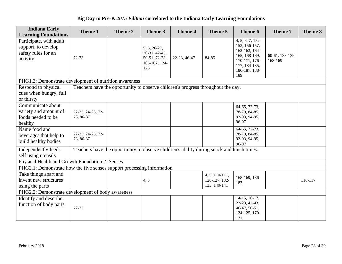| <b>Indiana Early</b><br><b>Learning Foundations</b>                               | Theme 1                                                                                   | Theme 2 | Theme 3                                                                | <b>Theme 4</b> | Theme 5                                         | Theme 6                                                                                                                       | Theme 7                    | Theme 8 |
|-----------------------------------------------------------------------------------|-------------------------------------------------------------------------------------------|---------|------------------------------------------------------------------------|----------------|-------------------------------------------------|-------------------------------------------------------------------------------------------------------------------------------|----------------------------|---------|
| Participate, with adult<br>support, to develop<br>safety rules for an<br>activity | 72-73                                                                                     |         | 5, 6, 26-27,<br>30-31, 42-43,<br>50-51, 72-73,<br>106-107, 124-<br>125 | 22-23, 46-47   | 84-85                                           | 4, 5, 6, 7, 152-<br>153, 156-157,<br>162-163, 164-<br>165, 168-169,<br>170-171, 176-<br>177, 184-185,<br>186-187, 188-<br>189 | 60-61, 138-139,<br>168-169 |         |
| PHG1.3: Demonstrate development of nutrition awareness                            |                                                                                           |         |                                                                        |                |                                                 |                                                                                                                               |                            |         |
| Respond to physical<br>cues when hungry, full<br>or thirsty                       | Teachers have the opportunity to observe children's progress throughout the day.          |         |                                                                        |                |                                                 |                                                                                                                               |                            |         |
| Communicate about<br>variety and amount of<br>foods needed to be<br>healthy       | 22-23, 24-25, 72-<br>73, 86-87                                                            |         |                                                                        |                |                                                 | 64-65, 72-73,<br>78-79, 84-85,<br>92-93, 94-95,<br>96-97                                                                      |                            |         |
| Name food and<br>beverages that help to<br>build healthy bodies                   | 22-23, 24-25, 72-<br>73, 86-87                                                            |         |                                                                        |                |                                                 | 64-65, 72-73,<br>78-79, 84-85,<br>92-93, 94-95,<br>96-97                                                                      |                            |         |
| Independently feeds<br>self using utensils                                        | Teachers have the opportunity to observe children's ability during snack and lunch times. |         |                                                                        |                |                                                 |                                                                                                                               |                            |         |
| Physical Health and Growth Foundation 2: Senses                                   |                                                                                           |         |                                                                        |                |                                                 |                                                                                                                               |                            |         |
| PHG2.1: Demonstrate how the five senses support processing information            |                                                                                           |         |                                                                        |                |                                                 |                                                                                                                               |                            |         |
| Take things apart and<br>invent new structures<br>using the parts                 |                                                                                           |         | 4, 5                                                                   |                | 4, 5, 110-111,<br>126-127, 132-<br>133, 140-141 | 168-169, 186-<br>187                                                                                                          |                            | 116-117 |
| PHG2.2: Demonstrate development of body awareness                                 |                                                                                           |         |                                                                        |                |                                                 |                                                                                                                               |                            |         |
| Identify and describe<br>function of body parts                                   | 72-73                                                                                     |         |                                                                        |                |                                                 | 14-15, 16-17,<br>22-23, 42-43,<br>46-47, 50-51,<br>124-125, 170-<br>171                                                       |                            |         |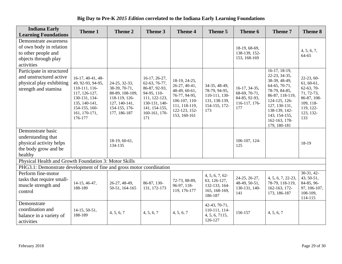| <b>Indiana Early</b><br><b>Learning Foundations</b>                                                           | Theme 1                                                                                                                                                 | Theme 2                                                                                                              | Theme 3                                                                                                                                   | <b>Theme 4</b>                                                                                                                      | Theme 5                                                                                  | Theme 6                                                                 | Theme 7                                                                                                                                                                                                     | Theme 8                                                                                                               |
|---------------------------------------------------------------------------------------------------------------|---------------------------------------------------------------------------------------------------------------------------------------------------------|----------------------------------------------------------------------------------------------------------------------|-------------------------------------------------------------------------------------------------------------------------------------------|-------------------------------------------------------------------------------------------------------------------------------------|------------------------------------------------------------------------------------------|-------------------------------------------------------------------------|-------------------------------------------------------------------------------------------------------------------------------------------------------------------------------------------------------------|-----------------------------------------------------------------------------------------------------------------------|
| Demonstrate awareness<br>of own body in relation<br>to other people and<br>objects through play<br>activities |                                                                                                                                                         |                                                                                                                      |                                                                                                                                           |                                                                                                                                     |                                                                                          | 18-19, 68-69,<br>138-139, 152-<br>153, 168-169                          |                                                                                                                                                                                                             | 4, 5, 6, 7,<br>64-65                                                                                                  |
| Participate in structured<br>and unstructured active<br>physical play exhibiting<br>strength and stamina      | 16-17, 40-41, 48-<br>49, 92-93, 94-95,<br>110-111, 116-<br>117, 126-127,<br>130-131, 134-<br>135, 140-141,<br>154-155, 160-<br>161, 170-171,<br>176-177 | 24-25, 32-33,<br>38-39, 70-71,<br>88-89, 108-109,<br>118-119, 126-<br>127, 140-141,<br>154-155, 176-<br>177, 186-187 | 16-17, 26-27,<br>62-63, 76-77,<br>86-87, 92-93,<br>94-95, 110-<br>111, 122-123,<br>130-131, 140-<br>141, 154-155,<br>160-161, 170-<br>171 | 18-19, 24-25,<br>26-27, 40-41,<br>48-49, 60-61,<br>76-77, 94-95,<br>106-107, 110-<br>111, 118-119,<br>122-123, 152-<br>153, 160-161 | 34-35, 48-49,<br>78-79, 94-95,<br>110-111, 130-<br>131, 138-139,<br>154-155, 172-<br>173 | 16-17, 34-35,<br>68-69, 70-71,<br>84-85, 92-93,<br>116-117, 176-<br>177 | $16-17, 18-19,$<br>22-23, 34-35,<br>38-39, 48-49,<br>64-65, 70-71,<br>78-79, 84-85,<br>86-87, 118-119,<br>124-125, 126-<br>127, 130-131,<br>138-139, 142-<br>143, 154-155,<br>162-163, 178-<br>179, 180-181 | 22-23, 60-<br>$61, 60-61,$<br>$62-63, 70-$<br>71, 72-73,<br>86-87, 108-<br>109, 118-<br>119, 122-<br>123, 132-<br>133 |
| Demonstrate basic<br>understanding that<br>physical activity helps<br>the body grow and be<br>healthy         |                                                                                                                                                         | 18-19, 60-61,<br>134-135                                                                                             |                                                                                                                                           |                                                                                                                                     |                                                                                          | 106-107, 124-<br>125                                                    |                                                                                                                                                                                                             | 18-19                                                                                                                 |
| Physical Health and Growth Foundation 3: Motor Skills                                                         |                                                                                                                                                         |                                                                                                                      |                                                                                                                                           |                                                                                                                                     |                                                                                          |                                                                         |                                                                                                                                                                                                             |                                                                                                                       |
| PHG3.1: Demonstrate development of fine and gross motor coordination<br>Perform fine-motor                    |                                                                                                                                                         |                                                                                                                      |                                                                                                                                           |                                                                                                                                     | 4, 5, 6, 7, 62                                                                           |                                                                         |                                                                                                                                                                                                             | $30-31, 42-$                                                                                                          |
| tasks that require small-<br>muscle strength and<br>control                                                   | 14-15, 46-47,<br>188-189                                                                                                                                | 26-27, 48-49,<br>50-51, 164-165                                                                                      | 86-87, 130-<br>131, 172-173                                                                                                               | 72-73, 88-89,<br>96-97, 118-<br>119, 176-177                                                                                        | 63, 126-127,<br>132-133, 164-<br>165, 168-169,<br>186-187                                | 24-25, 26-27,<br>48-49, 50-51,<br>130-131, 140-<br>141                  | 4, 5, 6, 7, 22-23,<br>78-79, 118-119,<br>162-163, 172-<br>173, 186-187                                                                                                                                      | 43, 50-51,<br>84-85, 96-<br>97, 106-107,<br>108-109,<br>114-115                                                       |
| Demonstrate<br>coordination and<br>balance in a variety of<br>activities                                      | $14-15, 50-51,$<br>188-189                                                                                                                              | 4, 5, 6, 7                                                                                                           | 4, 5, 6, 7                                                                                                                                | 4, 5, 6, 7                                                                                                                          | 42-43, 70-71,<br>110-111, 114-<br>4, 5, 6, 7115,<br>126-127                              | 156-157                                                                 | 4, 5, 6, 7                                                                                                                                                                                                  |                                                                                                                       |